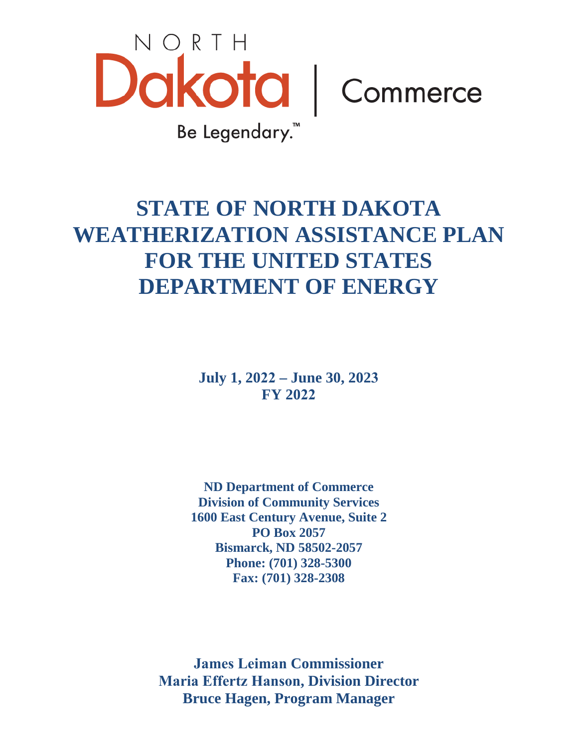

# **STATE OF NORTH DAKOTA WEATHERIZATION ASSISTANCE PLAN FOR THE UNITED STATES DEPARTMENT OF ENERGY**

**July 1, 2022 – June 30, 2023 FY 2022**

**ND Department of Commerce Division of Community Services 1600 East Century Avenue, Suite 2 PO Box 2057 Bismarck, ND 58502-2057 Phone: (701) 328-5300 Fax: (701) 328-2308** 

**James Leiman Commissioner Maria Effertz Hanson, Division Director Bruce Hagen, Program Manager**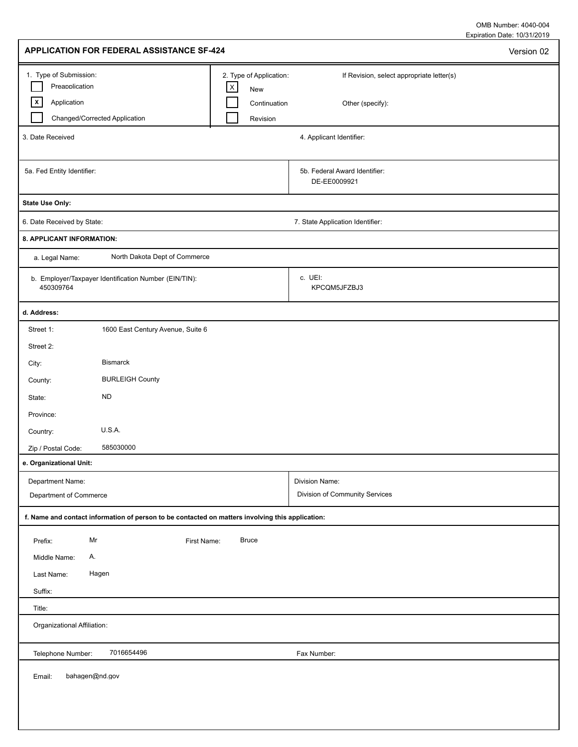Expiration Date: 10/31/2019 OMB Number: 4040-004

| 1. Type of Submission:<br>2. Type of Application:<br>If Revision, select appropriate letter(s)<br>Preapplication<br>$\mathsf X$<br>New<br>$\vert x \vert$<br>Application<br>Continuation<br>Other (specify):<br>Changed/Corrected Application<br>Revision<br>3. Date Received<br>4. Applicant Identifier:<br>5a. Fed Entity Identifier:<br>5b. Federal Award Identifier:<br>DE-EE0009921<br><b>State Use Only:</b><br>6. Date Received by State:<br>7. State Application Identifier:<br>8. APPLICANT INFORMATION:<br>North Dakota Dept of Commerce<br>a. Legal Name:<br>c. UEI:<br>b. Employer/Taxpayer Identification Number (EIN/TIN):<br>450309764<br>KPCQM5JFZBJ3<br>d. Address:<br>Street 1:<br>1600 East Century Avenue, Suite 6<br>Street 2:<br><b>Bismarck</b><br>City:<br><b>BURLEIGH County</b><br>County:<br><b>ND</b><br>State:<br>Province:<br>U.S.A.<br>Country:<br>585030000<br>Zip / Postal Code:<br>e. Organizational Unit:<br>Department Name:<br>Division Name:<br>Division of Community Services<br>Department of Commerce<br>f. Name and contact information of person to be contacted on matters involving this application:<br>Mr<br><b>Bruce</b><br>Prefix:<br>First Name:<br>Middle Name:<br>Α. |
|--------------------------------------------------------------------------------------------------------------------------------------------------------------------------------------------------------------------------------------------------------------------------------------------------------------------------------------------------------------------------------------------------------------------------------------------------------------------------------------------------------------------------------------------------------------------------------------------------------------------------------------------------------------------------------------------------------------------------------------------------------------------------------------------------------------------------------------------------------------------------------------------------------------------------------------------------------------------------------------------------------------------------------------------------------------------------------------------------------------------------------------------------------------------------------------------------------------------------|
|                                                                                                                                                                                                                                                                                                                                                                                                                                                                                                                                                                                                                                                                                                                                                                                                                                                                                                                                                                                                                                                                                                                                                                                                                          |
|                                                                                                                                                                                                                                                                                                                                                                                                                                                                                                                                                                                                                                                                                                                                                                                                                                                                                                                                                                                                                                                                                                                                                                                                                          |
|                                                                                                                                                                                                                                                                                                                                                                                                                                                                                                                                                                                                                                                                                                                                                                                                                                                                                                                                                                                                                                                                                                                                                                                                                          |
|                                                                                                                                                                                                                                                                                                                                                                                                                                                                                                                                                                                                                                                                                                                                                                                                                                                                                                                                                                                                                                                                                                                                                                                                                          |
|                                                                                                                                                                                                                                                                                                                                                                                                                                                                                                                                                                                                                                                                                                                                                                                                                                                                                                                                                                                                                                                                                                                                                                                                                          |
|                                                                                                                                                                                                                                                                                                                                                                                                                                                                                                                                                                                                                                                                                                                                                                                                                                                                                                                                                                                                                                                                                                                                                                                                                          |
|                                                                                                                                                                                                                                                                                                                                                                                                                                                                                                                                                                                                                                                                                                                                                                                                                                                                                                                                                                                                                                                                                                                                                                                                                          |
|                                                                                                                                                                                                                                                                                                                                                                                                                                                                                                                                                                                                                                                                                                                                                                                                                                                                                                                                                                                                                                                                                                                                                                                                                          |
|                                                                                                                                                                                                                                                                                                                                                                                                                                                                                                                                                                                                                                                                                                                                                                                                                                                                                                                                                                                                                                                                                                                                                                                                                          |
|                                                                                                                                                                                                                                                                                                                                                                                                                                                                                                                                                                                                                                                                                                                                                                                                                                                                                                                                                                                                                                                                                                                                                                                                                          |
|                                                                                                                                                                                                                                                                                                                                                                                                                                                                                                                                                                                                                                                                                                                                                                                                                                                                                                                                                                                                                                                                                                                                                                                                                          |
|                                                                                                                                                                                                                                                                                                                                                                                                                                                                                                                                                                                                                                                                                                                                                                                                                                                                                                                                                                                                                                                                                                                                                                                                                          |
|                                                                                                                                                                                                                                                                                                                                                                                                                                                                                                                                                                                                                                                                                                                                                                                                                                                                                                                                                                                                                                                                                                                                                                                                                          |
|                                                                                                                                                                                                                                                                                                                                                                                                                                                                                                                                                                                                                                                                                                                                                                                                                                                                                                                                                                                                                                                                                                                                                                                                                          |
|                                                                                                                                                                                                                                                                                                                                                                                                                                                                                                                                                                                                                                                                                                                                                                                                                                                                                                                                                                                                                                                                                                                                                                                                                          |
|                                                                                                                                                                                                                                                                                                                                                                                                                                                                                                                                                                                                                                                                                                                                                                                                                                                                                                                                                                                                                                                                                                                                                                                                                          |
|                                                                                                                                                                                                                                                                                                                                                                                                                                                                                                                                                                                                                                                                                                                                                                                                                                                                                                                                                                                                                                                                                                                                                                                                                          |
|                                                                                                                                                                                                                                                                                                                                                                                                                                                                                                                                                                                                                                                                                                                                                                                                                                                                                                                                                                                                                                                                                                                                                                                                                          |
| Hagen<br>Last Name:<br>Suffix:                                                                                                                                                                                                                                                                                                                                                                                                                                                                                                                                                                                                                                                                                                                                                                                                                                                                                                                                                                                                                                                                                                                                                                                           |
| Title:<br>Organizational Affiliation:                                                                                                                                                                                                                                                                                                                                                                                                                                                                                                                                                                                                                                                                                                                                                                                                                                                                                                                                                                                                                                                                                                                                                                                    |
| 7016654496<br>Telephone Number:<br>Fax Number:                                                                                                                                                                                                                                                                                                                                                                                                                                                                                                                                                                                                                                                                                                                                                                                                                                                                                                                                                                                                                                                                                                                                                                           |
| bahagen@nd.gov<br>Email:                                                                                                                                                                                                                                                                                                                                                                                                                                                                                                                                                                                                                                                                                                                                                                                                                                                                                                                                                                                                                                                                                                                                                                                                 |

I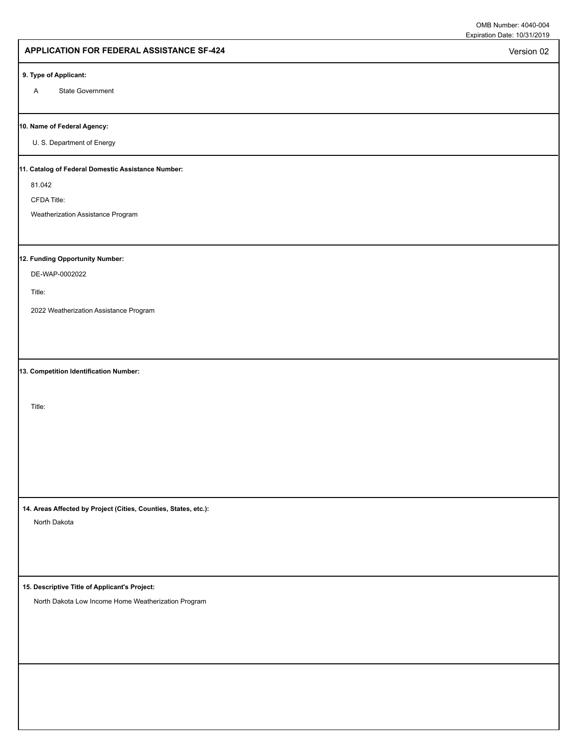Version 02

### **APPLICATION FOR FEDERAL ASSISTANCE SF-424**

#### **9. Type of Applicant:**

A State Government

#### **10. Name of Federal Agency:**

U. S. Department of Energy

#### **11. Catalog of Federal Domestic Assistance Number:**

81.042

CFDA Title:

Weatherization Assistance Program

# **12. Funding Opportunity Number:**

DE-WAP-0002022

Title:

2022 Weatherization Assistance Program

**13. Competition Identification Number:**

Title:

**14. Areas Affected by Project (Cities, Counties, States, etc.):**

North Dakota

**15. Descriptive Title of Applicant's Project:**

North Dakota Low Income Home Weatherization Program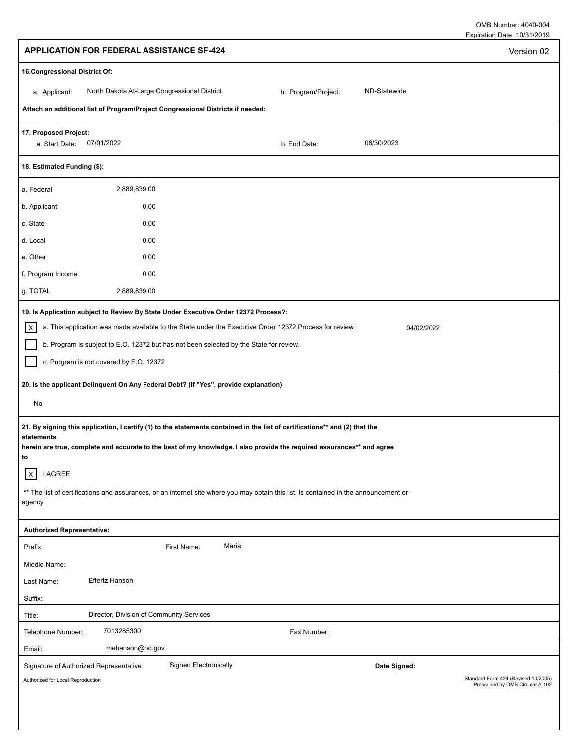| <b>APPLICATION FOR FEDERAL ASSISTANCE SF-424</b>                                                                                                                                                                                                                                                                                                                                                                                                                                                                                                                                                                                                                                                                                                                                                                     | Version 02                                                                              |
|----------------------------------------------------------------------------------------------------------------------------------------------------------------------------------------------------------------------------------------------------------------------------------------------------------------------------------------------------------------------------------------------------------------------------------------------------------------------------------------------------------------------------------------------------------------------------------------------------------------------------------------------------------------------------------------------------------------------------------------------------------------------------------------------------------------------|-----------------------------------------------------------------------------------------|
| 16. Congressional District Of:                                                                                                                                                                                                                                                                                                                                                                                                                                                                                                                                                                                                                                                                                                                                                                                       |                                                                                         |
| North Dakota At-Large Congressional District<br>ND-Statewide<br>b. Program/Project:<br>a. Applicant:                                                                                                                                                                                                                                                                                                                                                                                                                                                                                                                                                                                                                                                                                                                 |                                                                                         |
| Attach an additional list of Program/Project Congressional Districts if needed:                                                                                                                                                                                                                                                                                                                                                                                                                                                                                                                                                                                                                                                                                                                                      |                                                                                         |
| 17. Proposed Project:<br>06/30/2023<br>07/01/2022<br>a. Start Date:<br>b. End Date:                                                                                                                                                                                                                                                                                                                                                                                                                                                                                                                                                                                                                                                                                                                                  |                                                                                         |
| 18. Estimated Funding (\$):                                                                                                                                                                                                                                                                                                                                                                                                                                                                                                                                                                                                                                                                                                                                                                                          |                                                                                         |
| 2,889,839.00<br>a. Federal                                                                                                                                                                                                                                                                                                                                                                                                                                                                                                                                                                                                                                                                                                                                                                                           |                                                                                         |
| 0.00<br>b. Applicant                                                                                                                                                                                                                                                                                                                                                                                                                                                                                                                                                                                                                                                                                                                                                                                                 |                                                                                         |
| 0.00<br>c. State                                                                                                                                                                                                                                                                                                                                                                                                                                                                                                                                                                                                                                                                                                                                                                                                     |                                                                                         |
| 0.00<br>d. Local                                                                                                                                                                                                                                                                                                                                                                                                                                                                                                                                                                                                                                                                                                                                                                                                     |                                                                                         |
| 0.00<br>e. Other                                                                                                                                                                                                                                                                                                                                                                                                                                                                                                                                                                                                                                                                                                                                                                                                     |                                                                                         |
| f. Program Income<br>0.00                                                                                                                                                                                                                                                                                                                                                                                                                                                                                                                                                                                                                                                                                                                                                                                            |                                                                                         |
| g. TOTAL<br>2,889,839.00                                                                                                                                                                                                                                                                                                                                                                                                                                                                                                                                                                                                                                                                                                                                                                                             |                                                                                         |
| $\vert x \vert$<br>a. This application was made available to the State under the Executive Order 12372 Process for review<br>b. Program is subject to E.O. 12372 but has not been selected by the State for review.<br>c. Program is not covered by E.O. 12372<br>20. Is the applicant Delinquent On Any Federal Debt? (If "Yes", provide explanation)<br>No<br>21. By signing this application, I certify (1) to the statements contained in the list of certifications** and (2) that the<br>statements<br>herein are true, complete and accurate to the best of my knowledge. I also provide the required assurances** and agree<br>to<br> x<br><b>I AGREE</b><br>** The list of certifications and assurances, or an internet site where you may obtain this list, is contained in the announcement or<br>agency | 04/02/2022                                                                              |
|                                                                                                                                                                                                                                                                                                                                                                                                                                                                                                                                                                                                                                                                                                                                                                                                                      |                                                                                         |
| <b>Authorized Representative:</b><br>Maria<br>First Name:                                                                                                                                                                                                                                                                                                                                                                                                                                                                                                                                                                                                                                                                                                                                                            |                                                                                         |
| Prefix:<br>Middle Name:                                                                                                                                                                                                                                                                                                                                                                                                                                                                                                                                                                                                                                                                                                                                                                                              |                                                                                         |
| Effertz Hanson<br>Last Name:                                                                                                                                                                                                                                                                                                                                                                                                                                                                                                                                                                                                                                                                                                                                                                                         |                                                                                         |
| Suffix:                                                                                                                                                                                                                                                                                                                                                                                                                                                                                                                                                                                                                                                                                                                                                                                                              |                                                                                         |
| Director, Division of Community Services<br>Title:                                                                                                                                                                                                                                                                                                                                                                                                                                                                                                                                                                                                                                                                                                                                                                   |                                                                                         |
| 7013285300<br>Telephone Number:<br>Fax Number:                                                                                                                                                                                                                                                                                                                                                                                                                                                                                                                                                                                                                                                                                                                                                                       |                                                                                         |
| mehanson@nd.gov<br>Email:                                                                                                                                                                                                                                                                                                                                                                                                                                                                                                                                                                                                                                                                                                                                                                                            |                                                                                         |
| <b>Signed Electronically</b><br>Signature of Authorized Representative:<br>Authorized for Local Reproduction                                                                                                                                                                                                                                                                                                                                                                                                                                                                                                                                                                                                                                                                                                         | Date Signed:<br>Standard Form 424 (Revised 10/2005)<br>Prescribed by OMB Circular A-102 |
|                                                                                                                                                                                                                                                                                                                                                                                                                                                                                                                                                                                                                                                                                                                                                                                                                      |                                                                                         |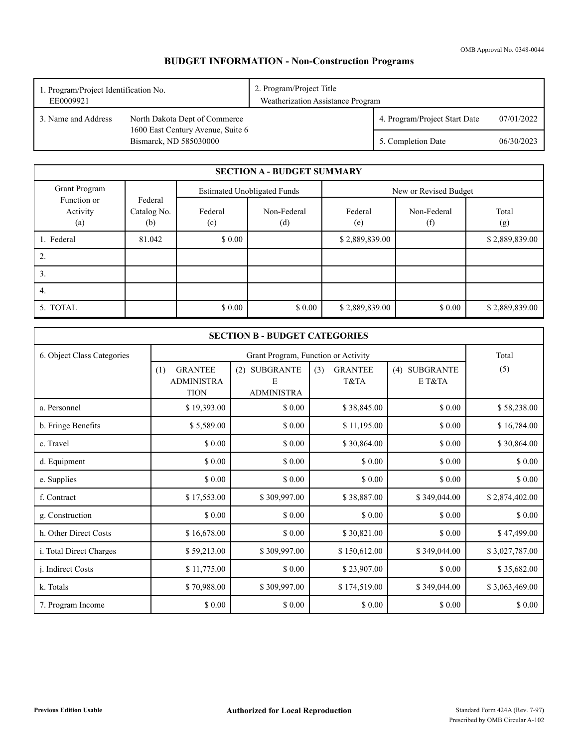OMB Approval No. 0348-0044

# **BUDGET INFORMATION - Non-Construction Programs**

| 1. Program/Project Identification No.<br>EE0009921 |                                                             | 2. Program/Project Title<br>Weatherization Assistance Program |                               |            |
|----------------------------------------------------|-------------------------------------------------------------|---------------------------------------------------------------|-------------------------------|------------|
| 3. Name and Address                                | North Dakota Dept of Commerce                               |                                                               | 4. Program/Project Start Date | 07/01/2022 |
|                                                    | 1600 East Century Avenue, Suite 6<br>Bismarck, ND 585030000 |                                                               | 5. Completion Date            | 06/30/2023 |

|                                |                               |                | <b>SECTION A - BUDGET SUMMARY</b>  |                |                       |                |
|--------------------------------|-------------------------------|----------------|------------------------------------|----------------|-----------------------|----------------|
| Grant Program                  |                               |                | <b>Estimated Unobligated Funds</b> |                | New or Revised Budget |                |
| Function or<br>Activity<br>(a) | Federal<br>Catalog No.<br>(b) | Federal<br>(c) | Non-Federal<br>(d)                 | Federal<br>(e) | Non-Federal<br>(f)    | Total<br>(g)   |
| 1. Federal                     | 81.042                        | \$0.00         |                                    | \$2,889,839.00 |                       | \$2,889,839.00 |
| 2.                             |                               |                |                                    |                |                       |                |
| 3.                             |                               |                |                                    |                |                       |                |
| 4.                             |                               |                |                                    |                |                       |                |
| 5. TOTAL                       |                               | \$0.00         | \$0.00                             | \$2,889,839.00 | \$0.00                | \$2,889,839.00 |

| <b>SECTION B - BUDGET CATEGORIES</b> |                                                           |                                                   |                               |                         |                |  |
|--------------------------------------|-----------------------------------------------------------|---------------------------------------------------|-------------------------------|-------------------------|----------------|--|
| 6. Object Class Categories           |                                                           | Grant Program, Function or Activity               |                               |                         |                |  |
|                                      | <b>GRANTEE</b><br>(1)<br><b>ADMINISTRA</b><br><b>TION</b> | <b>SUBGRANTE</b><br>(2)<br>E<br><b>ADMINISTRA</b> | <b>GRANTEE</b><br>(3)<br>T&TA | (4) SUBGRANTE<br>E T&TA | (5)            |  |
| a. Personnel                         | \$19,393.00                                               | \$0.00                                            | \$38,845.00                   | \$ 0.00                 | \$58,238.00    |  |
| b. Fringe Benefits                   | \$5,589.00                                                | \$0.00                                            | \$11,195.00                   | \$0.00                  | \$16,784.00    |  |
| c. Travel                            | \$ 0.00                                                   | \$ 0.00                                           | \$30,864.00                   | \$ 0.00                 | \$30,864.00    |  |
| d. Equipment                         | \$ 0.00                                                   | \$0.00                                            | \$0.00                        | \$ 0.00                 | \$0.00         |  |
| e. Supplies                          | \$0.00                                                    | \$0.00                                            | \$0.00                        | \$0.00                  | \$0.00         |  |
| f. Contract                          | \$17,553.00                                               | \$309,997.00                                      | \$38,887.00                   | \$349,044.00            | \$2,874,402.00 |  |
| g. Construction                      | \$0.00                                                    | \$0.00                                            | \$0.00                        | \$ 0.00                 | \$0.00         |  |
| h. Other Direct Costs                | \$16,678.00                                               | \$0.00                                            | \$30,821.00                   | \$ 0.00                 | \$47,499.00    |  |
| i. Total Direct Charges              | \$59,213.00                                               | \$309,997.00                                      | \$150,612.00                  | \$349,044.00            | \$3,027,787.00 |  |
| j. Indirect Costs                    | \$11,775.00                                               | \$0.00                                            | \$23,907.00                   | \$0.00                  | \$35,682.00    |  |
| k. Totals                            | \$70,988.00                                               | \$309,997.00                                      | \$174,519.00                  | \$349,044.00            | \$3,063,469.00 |  |
| 7. Program Income                    | \$ 0.00                                                   | \$0.00                                            | \$0.00                        | \$ 0.00                 | \$0.00         |  |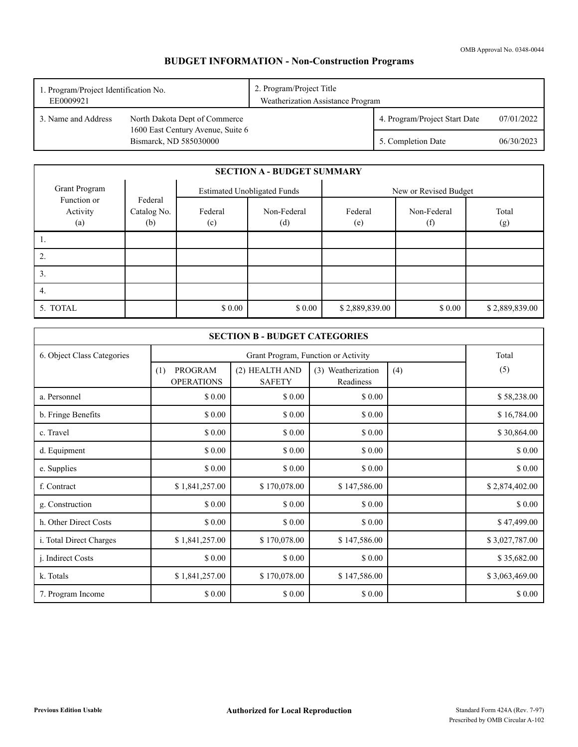# **BUDGET INFORMATION - Non-Construction Programs**

| 1. Program/Project Identification No.<br>EE0009921 |                                                             | 2. Program/Project Title<br>Weatherization Assistance Program |                               |            |
|----------------------------------------------------|-------------------------------------------------------------|---------------------------------------------------------------|-------------------------------|------------|
| 3. Name and Address                                | North Dakota Dept of Commerce                               |                                                               | 4. Program/Project Start Date | 07/01/2022 |
|                                                    | 1600 East Century Avenue, Suite 6<br>Bismarck, ND 585030000 |                                                               | 5. Completion Date            | 06/30/2023 |

|                                |                               |                | <b>SECTION A - BUDGET SUMMARY</b>  |                |                       |                |  |
|--------------------------------|-------------------------------|----------------|------------------------------------|----------------|-----------------------|----------------|--|
| Grant Program                  |                               |                | <b>Estimated Unobligated Funds</b> |                | New or Revised Budget |                |  |
| Function or<br>Activity<br>(a) | Federal<br>Catalog No.<br>(b) | Federal<br>(c) | Non-Federal<br>(d)                 | Federal<br>(e) | Non-Federal<br>(f)    | Total<br>(g)   |  |
| .,                             |                               |                |                                    |                |                       |                |  |
| 2.                             |                               |                |                                    |                |                       |                |  |
| 3.                             |                               |                |                                    |                |                       |                |  |
| 4.                             |                               |                |                                    |                |                       |                |  |
| 5. TOTAL                       |                               | \$0.00         | \$0.00                             | \$2,889,839.00 | \$0.00                | \$2,889,839.00 |  |

| <b>SECTION B - BUDGET CATEGORIES</b> |                                     |                                     |                                 |     |                |
|--------------------------------------|-------------------------------------|-------------------------------------|---------------------------------|-----|----------------|
| 6. Object Class Categories           |                                     | Grant Program, Function or Activity |                                 |     |                |
|                                      | PROGRAM<br>(1)<br><b>OPERATIONS</b> | (2) HEALTH AND<br><b>SAFETY</b>     | (3) Weatherization<br>Readiness | (4) | (5)            |
| a. Personnel                         | \$0.00                              | \$0.00                              | \$0.00                          |     | \$58,238.00    |
| b. Fringe Benefits                   | \$ 0.00                             | \$0.00                              | \$0.00                          |     | \$16,784.00    |
| c. Travel                            | \$0.00                              | \$0.00                              | \$0.00                          |     | \$30,864.00    |
| d. Equipment                         | \$0.00                              | \$0.00                              | \$0.00                          |     | \$0.00         |
| e. Supplies                          | \$ 0.00                             | \$0.00                              | \$0.00                          |     | \$0.00         |
| f. Contract                          | \$1,841,257.00                      | \$170,078.00                        | \$147,586.00                    |     | \$2,874,402.00 |
| g. Construction                      | \$0.00                              | \$0.00                              | \$0.00                          |     | \$0.00         |
| h. Other Direct Costs                | \$0.00                              | \$0.00                              | \$0.00                          |     | \$47,499.00    |
| i. Total Direct Charges              | \$1,841,257.00                      | \$170,078.00                        | \$147,586.00                    |     | \$3,027,787.00 |
| <i>i.</i> Indirect Costs             | \$ 0.00                             | \$0.00                              | \$0.00                          |     | \$35,682.00    |
| k. Totals                            | \$1,841,257.00                      | \$170,078.00                        | \$147,586.00                    |     | \$3,063,469.00 |
| 7. Program Income                    | \$0.00                              | \$0.00                              | \$0.00                          |     | \$0.00         |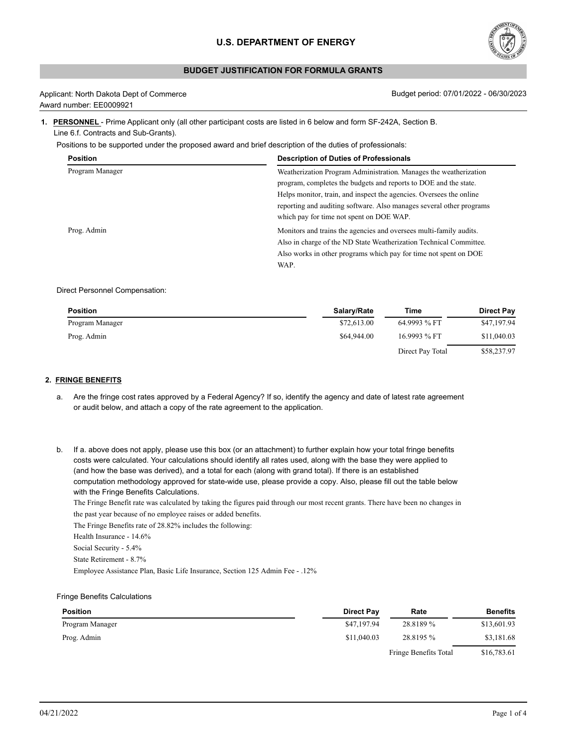

# **BUDGET JUSTIFICATION FOR FORMULA GRANTS**

| Applicant: North Dakota Dept of Commerce |
|------------------------------------------|
| Award number: EE0009921                  |

Budget period: 07/01/2022 - 06/30/2023

### **1. PERSONNEL** - Prime Applicant only (all other participant costs are listed in 6 below and form SF-242A, Section B. Line 6.f. Contracts and Sub-Grants).

Positions to be supported under the proposed award and brief description of the duties of professionals:

| <b>Position</b> | <b>Description of Duties of Professionals</b>                        |
|-----------------|----------------------------------------------------------------------|
| Program Manager | Weatherization Program Administration. Manages the weatherization    |
|                 | program, completes the budgets and reports to DOE and the state.     |
|                 | Helps monitor, train, and inspect the agencies. Oversees the online  |
|                 | reporting and auditing software. Also manages several other programs |
|                 | which pay for time not spent on DOE WAP.                             |
| Prog. Admin     | Monitors and trains the agencies and oversees multi-family audits.   |
|                 | Also in charge of the ND State Weatherization Technical Committee.   |
|                 | Also works in other programs which pay for time not spent on DOE     |
|                 | WAP.                                                                 |

#### Direct Personnel Compensation:

| <b>Position</b> | Salary/Rate | Time             | <b>Direct Pay</b> |
|-----------------|-------------|------------------|-------------------|
| Program Manager | \$72,613.00 | 64.9993 % FT     | \$47,197.94       |
| Prog. Admin     | \$64,944.00 | 16.9993 % FT     | \$11,040.03       |
|                 |             | Direct Pay Total | \$58,237.97       |

#### **2. FRINGE BENEFITS**

- a. Are the fringe cost rates approved by a Federal Agency? If so, identify the agency and date of latest rate agreement or audit below, and attach a copy of the rate agreement to the application.
- b. If a. above does not apply, please use this box (or an attachment) to further explain how your total fringe benefits costs were calculated. Your calculations should identify all rates used, along with the base they were applied to (and how the base was derived), and a total for each (along with grand total). If there is an established computation methodology approved for state-wide use, please provide a copy. Also, please fill out the table below with the Fringe Benefits Calculations.

The Fringe Benefit rate was calculated by taking the figures paid through our most recent grants. There have been no changes in the past year because of no employee raises or added benefits.

The Fringe Benefits rate of 28.82% includes the following:

Health Insurance - 14.6%

Social Security - 5.4%

State Retirement - 8.7%

Employee Assistance Plan, Basic Life Insurance, Section 125 Admin Fee - .12%

### Fringe Benefits Calculations

| <b>Position</b> | <b>Direct Pay</b> | Rate                  | <b>Benefits</b> |
|-----------------|-------------------|-----------------------|-----------------|
| Program Manager | \$47,197.94       | 28.8189 %             | \$13,601.93     |
| Prog. Admin     | \$11,040.03       | 28.8195 %             | \$3,181.68      |
|                 |                   | Fringe Benefits Total | \$16,783.61     |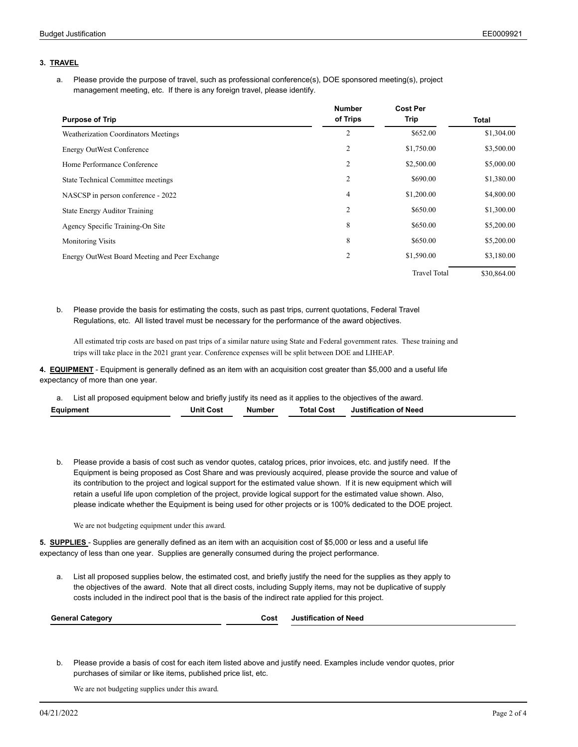# **3. TRAVEL**

Please provide the purpose of travel, such as professional conference(s), DOE sponsored meeting(s), project a. Please provide the purpose of travel, such as professional conference(s<br>management meeting, etc. If there is any foreign travel, please identify.

|                                                | <b>Number</b>  | <b>Cost Per</b>     |             |
|------------------------------------------------|----------------|---------------------|-------------|
| <b>Purpose of Trip</b>                         | of Trips       | Trip                | Total       |
| Weatherization Coordinators Meetings           | 2              | \$652.00            | \$1,304.00  |
| <b>Energy OutWest Conference</b>               | 2              | \$1,750.00          | \$3,500.00  |
| Home Performance Conference                    | 2              | \$2,500.00          | \$5,000.00  |
| State Technical Committee meetings             | $\overline{2}$ | \$690.00            | \$1,380.00  |
| NASCSP in person conference - 2022             | 4              | \$1,200.00          | \$4,800.00  |
| <b>State Energy Auditor Training</b>           | $\overline{2}$ | \$650.00            | \$1,300.00  |
| Agency Specific Training-On Site               | 8              | \$650.00            | \$5,200.00  |
| <b>Monitoring Visits</b>                       | 8              | \$650.00            | \$5,200.00  |
| Energy OutWest Board Meeting and Peer Exchange | $\overline{c}$ | \$1,590.00          | \$3,180.00  |
|                                                |                | <b>Travel Total</b> | \$30,864.00 |

Please provide the basis for estimating the costs, such as past trips, current quotations, Federal Travel b. Regulations, etc. All listed travel must be necessary for the performance of the award objectives.

All estimated trip costs are based on past trips of a similar nature using State and Federal government rates. These training and trips will take place in the 2021 grant year. Conference expenses will be split between DOE and LIHEAP.

**4. EQUIPMENT** - Equipment is generally defined as an item with an acquisition cost greater than \$5,000 and a useful life expectancy of more than one year.

a. List all proposed equipment below and briefly justify its need as it applies to the objectives of the award. **Equipment Unit Cost Number Total Cost Justification of Need**

b. Please provide a basis of cost such as vendor quotes, catalog prices, prior invoices, etc. and justify need. If the Equipment is being proposed as Cost Share and was previously acquired, please provide the source and value of its contribution to the project and logical support for the estimated value shown. If it is new equipment which will retain a useful life upon completion of the project, provide logical support for the estimated value shown. Also, please indicate whether the Equipment is being used for other projects or is 100% dedicated to the DOE project.

We are not budgeting equipment under this award.

**5. SUPPLIES** - Supplies are generally defined as an item with an acquisition cost of \$5,000 or less and a useful life expectancy of less than one year. Supplies are generally consumed during the project performance.

List all proposed supplies below, the estimated cost, and briefly justify the need for the supplies as they apply to the objectives of the award. Note that all direct costs, including Supply items, may not be duplicative of supply a. List all proposed supplies below, the estimated cost, and briefly justify the need for the supplies as they<br>the objectives of the award. Note that all direct costs, including Supply items, may not be duplicative of<br>cost

| <b>General Category</b> | Cost | of Need<br><br>Justification |
|-------------------------|------|------------------------------|
|                         |      |                              |

Please provide a basis of cost for each item listed above and justify need. Examples include vendor quotes, prior b. purchases of similar or like items, published price list, etc.

We are not budgeting supplies under this award.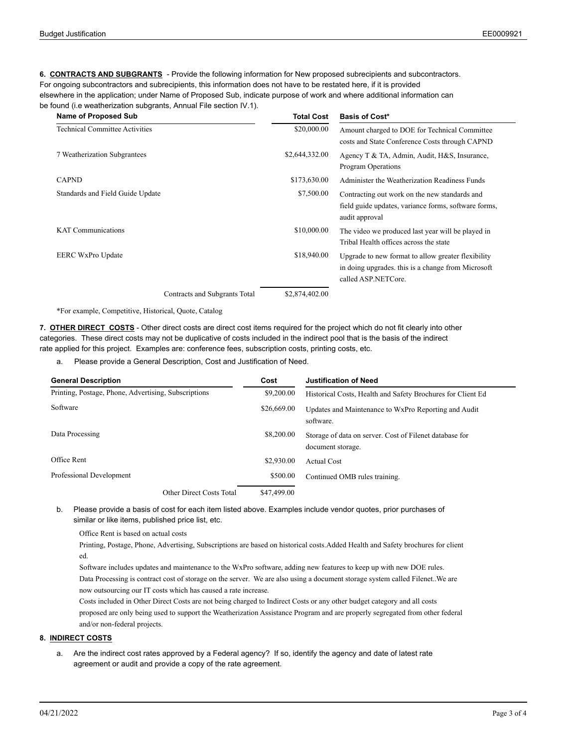**6. CONTRACTS AND SUBGRANTS** - Provide the following information for New proposed subrecipients and subcontractors. For ongoing subcontractors and subrecipients, this information does not have to be restated here, if it is provided elsewhere in the application; under Name of Proposed Sub, indicate purpose of work and where additional information can be found (i.e weatherization subgrants, Annual File section IV.1).

| <b>Name of Proposed Sub</b>           | <b>Total Cost</b> | <b>Basis of Cost*</b>                                                                                                           |
|---------------------------------------|-------------------|---------------------------------------------------------------------------------------------------------------------------------|
| <b>Technical Committee Activities</b> | \$20,000.00       | Amount charged to DOE for Technical Committee<br>costs and State Conference Costs through CAPND                                 |
| 7 Weatherization Subgrantees          | \$2,644,332.00    | Agency T & TA, Admin, Audit, H&S, Insurance,<br>Program Operations                                                              |
| <b>CAPND</b>                          | \$173,630.00      | Administer the Weatherization Readiness Funds                                                                                   |
| Standards and Field Guide Update      | \$7,500.00        | Contracting out work on the new standards and<br>field guide updates, variance forms, software forms,<br>audit approval         |
| <b>KAT Communications</b>             | \$10,000.00       | The video we produced last year will be played in<br>Tribal Health offices across the state                                     |
| EERC WxPro Update                     | \$18,940.00       | Upgrade to new format to allow greater flexibility<br>in doing upgrades, this is a change from Microsoft<br>called ASP.NETCore. |
| Contracts and Subgrants Total         | \$2,874,402.00    |                                                                                                                                 |

\*For example, Competitive, Historical, Quote, Catalog

**7. OTHER DIRECT COSTS** - Other direct costs are direct cost items required for the project which do not fit clearly into other categories. These direct costs may not be duplicative of costs included in the indirect pool that is the basis of the indirect rate applied for this project. Examples are: conference fees, subscription costs, printing costs, etc.

a. Please provide a General Description, Cost and Justification of Need.

| <b>General Description</b>                           | Cost        | <b>Justification of Need</b>                                                 |
|------------------------------------------------------|-------------|------------------------------------------------------------------------------|
| Printing, Postage, Phone, Advertising, Subscriptions | \$9,200.00  | Historical Costs, Health and Safety Brochures for Client Ed                  |
| Software                                             | \$26,669.00 | Updates and Maintenance to WxPro Reporting and Audit<br>software.            |
| Data Processing                                      | \$8,200,00  | Storage of data on server. Cost of Filenet database for<br>document storage. |
| Office Rent                                          | \$2,930.00  | Actual Cost                                                                  |
| Professional Development                             | \$500.00    | Continued OMB rules training.                                                |
| Other Direct Costs Total                             | \$47,499.00 |                                                                              |

Please provide a basis of cost for each item listed above. Examples include vendor quotes, prior purchases of b. similar or like items, published price list, etc.

Office Rent is based on actual costs

Printing, Postage, Phone, Advertising, Subscriptions are based on historical costs.Added Health and Safety brochures for client ed.

Software includes updates and maintenance to the WxPro software, adding new features to keep up with new DOE rules. Data Processing is contract cost of storage on the server. We are also using a document storage system called Filenet..We are now outsourcing our IT costs which has caused a rate increase.

Costs included in Other Direct Costs are not being charged to Indirect Costs or any other budget category and all costs proposed are only being used to support the Weatherization Assistance Program and are properly segregated from other federal and/or non-federal projects.

# **8. INDIRECT COSTS**

a. Are the indirect cost rates approved by a Federal agency? If so, identify the agency and date of latest rate agreement or audit and provide a copy of the rate agreement.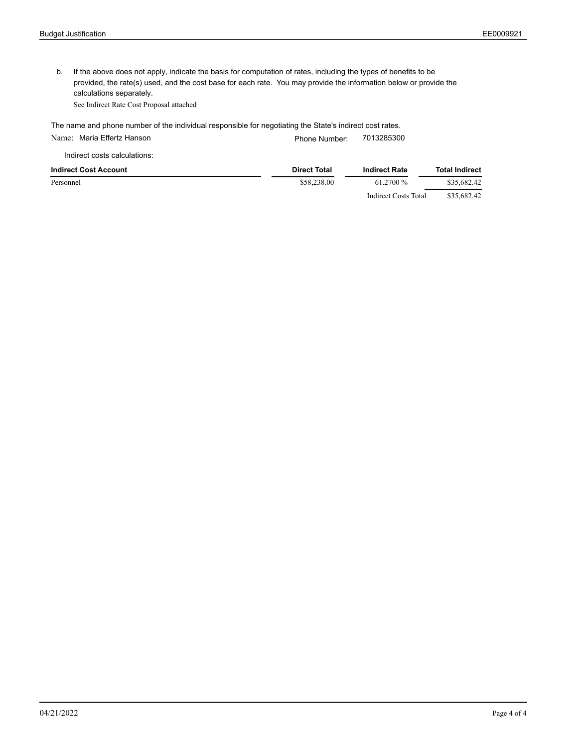b. If the above does not apply, indicate the basis for computation of rates, including the types of benefits to be provided, the rate(s) used, and the cost base for each rate. You may provide the information below or provide the calculations separately.

See Indirect Rate Cost Proposal attached

The name and phone number of the individual responsible for negotiating the State's indirect cost rates.

Name: Maria Effertz Hanson **Phone Number:** 7013285300

Indirect costs calculations:

| <b>Indirect Cost Account</b> | <b>Direct Total</b> | <b>Indirect Rate</b> | <b>Total Indirect</b> |
|------------------------------|---------------------|----------------------|-----------------------|
| Personnel                    | \$58,238.00         | 61.2700 %            | \$35,682.42           |
|                              |                     | Indirect Costs Total | \$35,682.42           |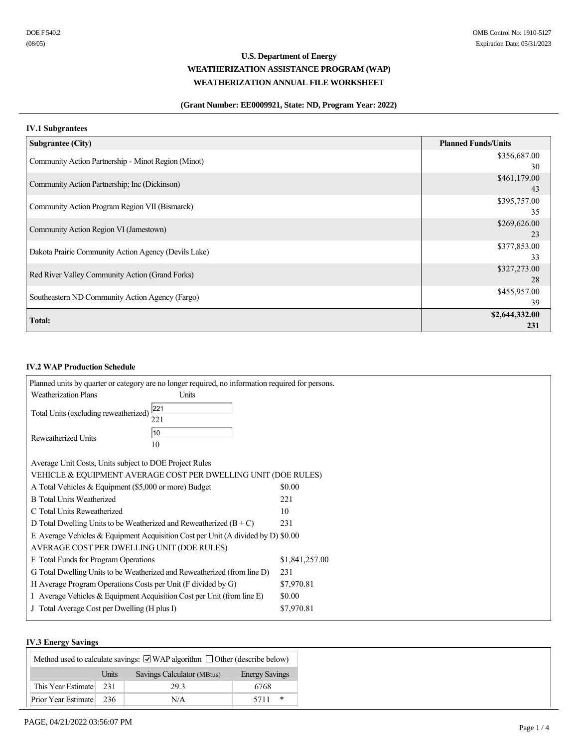# **(Grant Number: EE0009921, State: ND, Program Year: 2022)**

# **IV.1 Subgrantees**

| <b>Subgrantee (City)</b>                             | <b>Planned Funds/Units</b> |
|------------------------------------------------------|----------------------------|
| Community Action Partnership - Minot Region (Minot)  | \$356,687.00               |
|                                                      | 30                         |
| Community Action Partnership; Inc (Dickinson)        | \$461,179.00               |
|                                                      | 43                         |
| Community Action Program Region VII (Bismarck)       | \$395,757.00               |
|                                                      | 35                         |
| Community Action Region VI (Jamestown)               | \$269,626.00               |
|                                                      | 23                         |
| Dakota Prairie Community Action Agency (Devils Lake) | \$377,853.00               |
|                                                      | 33                         |
| Red River Valley Community Action (Grand Forks)      | \$327,273.00               |
|                                                      | 28                         |
| Southeastern ND Community Action Agency (Fargo)      | \$455,957.00               |
|                                                      | 39                         |
| <b>Total:</b>                                        | \$2,644,332.00             |
|                                                      | 231                        |

# **IV.2 WAP Production Schedule**

|                                                                    | Planned units by quarter or category are no longer required, no information required for persons. |                |
|--------------------------------------------------------------------|---------------------------------------------------------------------------------------------------|----------------|
| <b>Weatherization Plans</b>                                        | Units                                                                                             |                |
|                                                                    | 221                                                                                               |                |
| Total Units (excluding reweatherized)                              | 221                                                                                               |                |
|                                                                    |                                                                                                   |                |
| Reweatherized Units                                                | 10                                                                                                |                |
|                                                                    | 10                                                                                                |                |
|                                                                    |                                                                                                   |                |
| Average Unit Costs, Units subject to DOE Project Rules             |                                                                                                   |                |
|                                                                    | VEHICLE & EQUIPMENT AVERAGE COST PER DWELLING UNIT (DOE RULES)                                    |                |
| A Total Vehicles & Equipment (\$5,000 or more) Budget              |                                                                                                   | \$0.00         |
| <b>B</b> Total Units Weatherized                                   |                                                                                                   | 221            |
| C Total Units Reweatherized                                        |                                                                                                   | 10             |
| D Total Dwelling Units to be Weatherized and Reweatherized $(B+C)$ |                                                                                                   | 231            |
|                                                                    | E Average Vehicles & Equipment Acquisition Cost per Unit (A divided by D) \$0.00                  |                |
| AVERAGE COST PER DWELLING UNIT (DOE RULES)                         |                                                                                                   |                |
| F Total Funds for Program Operations                               |                                                                                                   | \$1,841,257.00 |
|                                                                    | G Total Dwelling Units to be Weatherized and Reweatherized (from line D)                          | 231            |
| H Average Program Operations Costs per Unit (F divided by G)       |                                                                                                   | \$7,970.81     |
|                                                                    | I Average Vehicles $&$ Equipment Acquisition Cost per Unit (from line E)                          | \$0.00         |
| J Total Average Cost per Dwelling (H plus I)                       |                                                                                                   | \$7,970.81     |
|                                                                    |                                                                                                   |                |

### **IV.3 Energy Savings**

| Method used to calculate savings: $\Box$ WAP algorithm $\Box$ Other (describe below) |       |                            |                       |
|--------------------------------------------------------------------------------------|-------|----------------------------|-----------------------|
|                                                                                      | Units | Savings Calculator (MBtus) | <b>Energy Savings</b> |
| This Year Estimate                                                                   | 231   | 29.3                       | 6768                  |
| Prior Year Estimate                                                                  | 236   | N/A                        | 5711<br>∗             |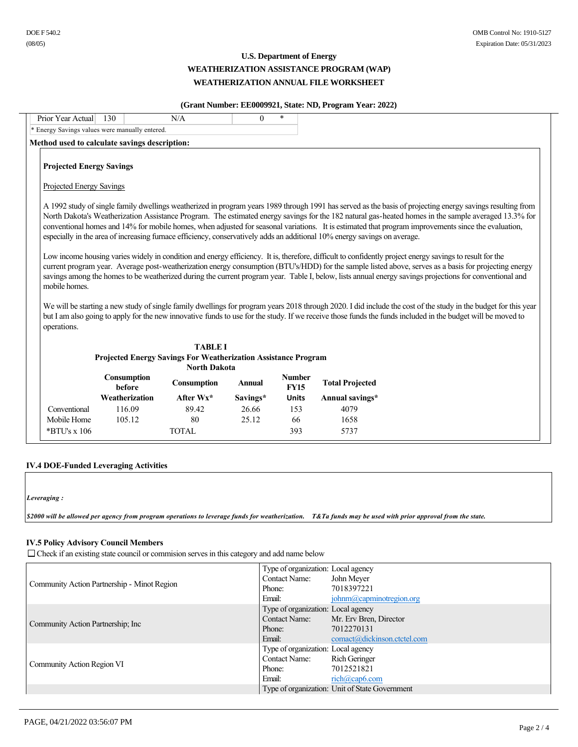### **(Grant Number: EE0009921, State: ND, Program Year: 2022)**

| Prior Year Actual                                           | 130                                          | N/A                                                                                          | $\Omega$      | $\ast$                       |                                                                                                                           |                                                                                                                                                                                                                                                                                                                                                                                                                                                                                                                                                                                                                                                                                                                                                                                                                                                                                                                                                           |
|-------------------------------------------------------------|----------------------------------------------|----------------------------------------------------------------------------------------------|---------------|------------------------------|---------------------------------------------------------------------------------------------------------------------------|-----------------------------------------------------------------------------------------------------------------------------------------------------------------------------------------------------------------------------------------------------------------------------------------------------------------------------------------------------------------------------------------------------------------------------------------------------------------------------------------------------------------------------------------------------------------------------------------------------------------------------------------------------------------------------------------------------------------------------------------------------------------------------------------------------------------------------------------------------------------------------------------------------------------------------------------------------------|
|                                                             | Energy Savings values were manually entered. |                                                                                              |               |                              |                                                                                                                           |                                                                                                                                                                                                                                                                                                                                                                                                                                                                                                                                                                                                                                                                                                                                                                                                                                                                                                                                                           |
| Method used to calculate savings description:               |                                              |                                                                                              |               |                              |                                                                                                                           |                                                                                                                                                                                                                                                                                                                                                                                                                                                                                                                                                                                                                                                                                                                                                                                                                                                                                                                                                           |
| <b>Projected Energy Savings</b><br>Projected Energy Savings |                                              |                                                                                              |               |                              | especially in the area of increasing furnace efficiency, conservatively adds an additional 10% energy savings on average. | A 1992 study of single family dwellings weatherized in program years 1989 through 1991 has served as the basis of projecting energy sayings resulting from<br>North Dakota's Weatherization Assistance Program. The estimated energy savings for the 182 natural gas-heated homes in the sample averaged 13.3% for<br>conventional homes and 14% for mobile homes, when adjusted for seasonal variations. It is estimated that program improvements since the evaluation,<br>Low income housing varies widely in condition and energy efficiency. It is, therefore, difficult to confidently project energy savings to result for the<br>current program year. Average post-weatherization energy consumption (BTU's/HDD) for the sample listed above, serves as a basis for projecting energy<br>savings among the homes to be weatherized during the current program year. Table I, below, lists annual energy savings projections for conventional and |
| mobile homes.<br>operations.                                |                                              |                                                                                              |               |                              |                                                                                                                           | We will be starting a new study of single family dwellings for program years 2018 through 2020. I did include the cost of the study in the budget for this year<br>but I am also going to apply for the new innovative funds to use for the study. If we receive those funds the funds included in the budget will be moved to                                                                                                                                                                                                                                                                                                                                                                                                                                                                                                                                                                                                                            |
|                                                             |                                              | <b>TABLE I</b>                                                                               |               |                              |                                                                                                                           |                                                                                                                                                                                                                                                                                                                                                                                                                                                                                                                                                                                                                                                                                                                                                                                                                                                                                                                                                           |
|                                                             |                                              | <b>Projected Energy Savings For Weatherization Assistance Program</b><br><b>North Dakota</b> |               |                              |                                                                                                                           |                                                                                                                                                                                                                                                                                                                                                                                                                                                                                                                                                                                                                                                                                                                                                                                                                                                                                                                                                           |
|                                                             | <b>Consumption</b><br>before                 | Consumption                                                                                  | <b>Annual</b> | <b>Number</b><br><b>FY15</b> | <b>Total Projected</b>                                                                                                    |                                                                                                                                                                                                                                                                                                                                                                                                                                                                                                                                                                                                                                                                                                                                                                                                                                                                                                                                                           |
|                                                             | Weatherization                               | After $Wx^*$                                                                                 | Savings*      | <b>Units</b>                 | Annual savings*                                                                                                           |                                                                                                                                                                                                                                                                                                                                                                                                                                                                                                                                                                                                                                                                                                                                                                                                                                                                                                                                                           |
| Conventional                                                | 116.09                                       | 89.42                                                                                        | 26.66         | 153                          | 4079                                                                                                                      |                                                                                                                                                                                                                                                                                                                                                                                                                                                                                                                                                                                                                                                                                                                                                                                                                                                                                                                                                           |
| Mobile Home                                                 | 105.12                                       | 80                                                                                           | 25.12         | 66                           | 1658                                                                                                                      |                                                                                                                                                                                                                                                                                                                                                                                                                                                                                                                                                                                                                                                                                                                                                                                                                                                                                                                                                           |
| $*$ BTU's x 106                                             |                                              | <b>TOTAL</b>                                                                                 |               | 393                          | 5737                                                                                                                      |                                                                                                                                                                                                                                                                                                                                                                                                                                                                                                                                                                                                                                                                                                                                                                                                                                                                                                                                                           |

#### **IV.4 DOE-Funded Leveraging Activities**

*Leveraging :* 

*\$2000 will be allowed per agency from program operations to leverage funds for weatherization. T&Ta funds may be used with prior approval from the state.* 

#### **IV.5 Policy Advisory Council Members**

 $\Box$  Check if an existing state council or commision serves in this category and add name below

|                                             | Type of organization: Local agency |                                                |
|---------------------------------------------|------------------------------------|------------------------------------------------|
|                                             | <b>Contact Name:</b>               | John Meyer                                     |
| Community Action Partnership - Minot Region | Phone:                             | 7018397221                                     |
|                                             | Email:                             | johnm@capminotregion.org                       |
|                                             | Type of organization: Local agency |                                                |
| Community Action Partnership; Inc.          | <b>Contact Name:</b>               | Mr. Erv Bren, Director                         |
|                                             | Phone:                             | 7012270131                                     |
|                                             | Email:                             | comact@dickinson.ctctel.com                    |
|                                             | Type of organization: Local agency |                                                |
|                                             | <b>Contact Name:</b>               | Rich Geringer                                  |
| Community Action Region VI                  | Phone:                             | 7012521821                                     |
|                                             | Email:                             | $rich(a) \text{cap6}$ .com                     |
|                                             |                                    | Type of organization: Unit of State Government |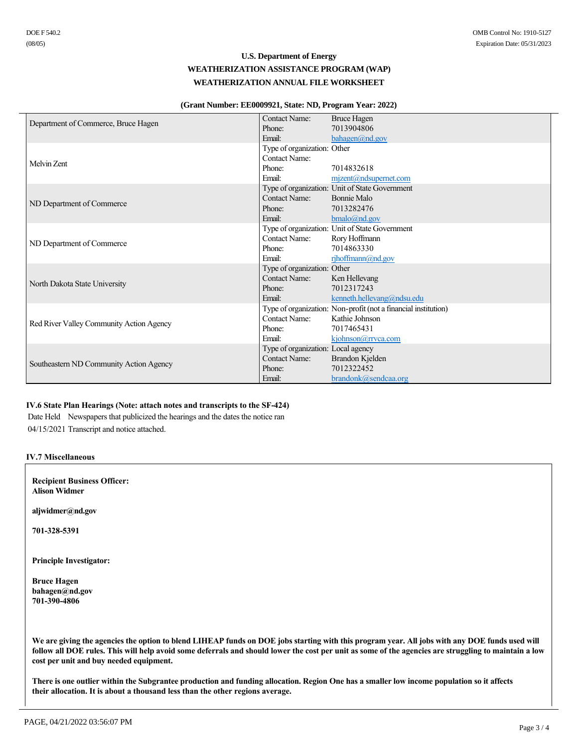#### **(Grant Number: EE0009921, State: ND, Program Year: 2022)**

|                                          | <b>Contact Name:</b>               | <b>Bruce Hagen</b>                                             |
|------------------------------------------|------------------------------------|----------------------------------------------------------------|
| Department of Commerce, Bruce Hagen      | Phone:                             | 7013904806                                                     |
|                                          | Email:                             | bahagen@nd.gov                                                 |
|                                          | Type of organization: Other        |                                                                |
| Melvin Zent                              | <b>Contact Name:</b>               |                                                                |
|                                          | Phone:                             | 7014832618                                                     |
|                                          | Email:                             | $m$ <i>jzent@ndsupernet.com</i>                                |
|                                          |                                    | Type of organization: Unit of State Government                 |
|                                          | Contact Name:                      | Bonnie Malo                                                    |
| ND Department of Commerce                | Phone:                             | 7013282476                                                     |
|                                          | Email:                             | $b$ malo@nd.gov                                                |
|                                          |                                    | Type of organization: Unit of State Government                 |
| ND Department of Commerce                | Contact Name:                      | Rory Hoffmann                                                  |
|                                          | Phone:                             | 7014863330                                                     |
|                                          | Email:                             | rihoffmann@nd.gov                                              |
|                                          | Type of organization: Other        |                                                                |
| North Dakota State University            | Contact Name:                      | Ken Hellevang                                                  |
|                                          | Phone:                             | 7012317243                                                     |
|                                          | Email:                             | kenneth.hellevang@ndsu.edu                                     |
|                                          |                                    | Type of organization: Non-profit (not a financial institution) |
| Red River Valley Community Action Agency | Contact Name:                      | Kathie Johnson                                                 |
|                                          | Phone:                             | 7017465431                                                     |
|                                          | Email:                             | kjohnson@rrvca.com                                             |
|                                          | Type of organization: Local agency |                                                                |
| Southeastern ND Community Action Agency  | <b>Contact Name:</b>               | Brandon Kjelden                                                |
|                                          | Phone:                             | 7012322452                                                     |
|                                          | Email:                             | brandonk@sendcaa.org                                           |

# **IV.6 State Plan Hearings (Note: attach notes and transcripts to the SF-424)**

Date Held Newspapers that publicized the hearings and the dates the notice ran

04/15/2021 Transcript and notice attached.

### **IV.7 Miscellaneous**

**Recipient Business Officer: Alison Widmer**

**aljwidmer@nd.gov**

**7013285391**

**Principle Investigator:**

**Bruce Hagen bahagen@nd.gov 7013904806**

**We are giving the agencies the option to blend LIHEAP funds on DOE jobs starting with this program year. All jobs with any DOE funds used will follow all DOE rules. This will help avoid some deferrals and should lower the cost per unit as some of the agencies are struggling to maintain a low cost per unit and buy needed equipment.**

**There is one outlier within the Subgrantee production and funding allocation. Region One has a smaller low income population so it affects their allocation. It is about a thousand less than the other regions average.**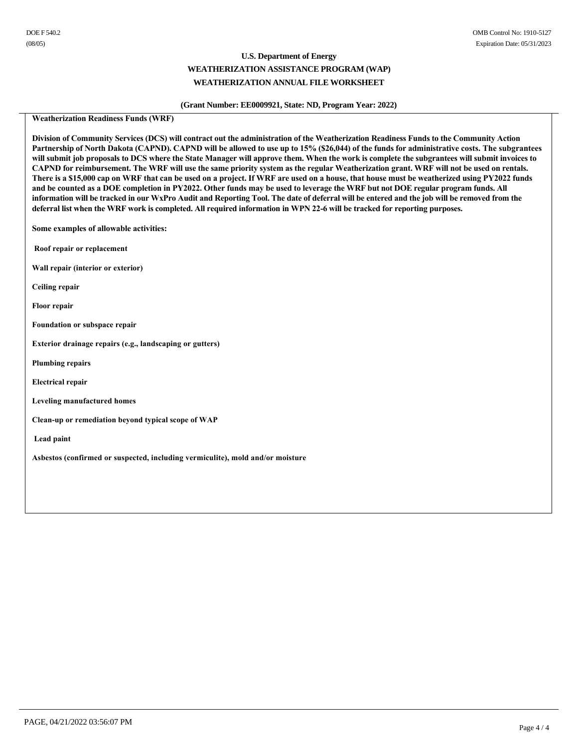### **(Grant Number: EE0009921, State: ND, Program Year: 2022)**

### **Weatherization Readiness Funds (WRF)**

**Division of Community Services (DCS) will contract out the administration of the Weatherization Readiness Funds to the Community Action Partnership of North Dakota (CAPND). CAPND will be allowed to use up to 15% (\$26,044) of the funds for administrative costs. The subgrantees will submit job proposals to DCS where the State Manager will approve them. When the work is complete the subgrantees will submit invoices to CAPND for reimbursement. The WRF will use the same priority system as the regular Weatherization grant. WRF will not be used on rentals. There is a \$15,000 cap on WRF that can be used on a project. If WRF are used on a house, that house must be weatherized using PY2022 funds and be counted as a DOE completion in PY2022. Other funds may be used to leverage the WRF but not DOE regular program funds. All information will be tracked in our WxPro Audit and Reporting Tool. The date of deferral will be entered and the job will be removed from the deferral list when the WRF work is completed. All required information in WPN 226 will be tracked for reporting purposes.**

**Some examples of allowable activities:**

**Roof repair or replacement**

**Wall repair (interior or exterior)** 

**Ceiling repair** 

**Floor repair** 

**Foundation or subspace repair** 

**Exterior drainage repairs (e.g., landscaping or gutters)**

**Plumbing repairs** 

**Electrical repair**

**Leveling manufactured homes**

Clean-up or remediation beyond typical scope of WAP

 **Lead paint** 

**Asbestos (confirmed or suspected, including vermiculite), mold and/or moisture**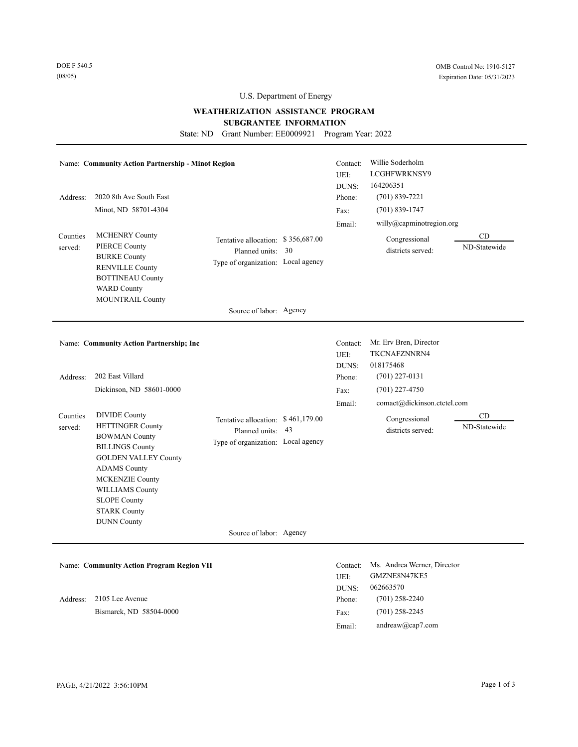### **WEATHERIZATION ASSISTANCE PROGRAM**

**SUBGRANTEE INFORMATION** 

State: ND Grant Number: EE0009921 Program Year: 2022

| Address:<br>Counties<br>served: | <b>Name: Community Action Partnership - Minot Region</b><br>2020 8th Ave South East<br>Minot, ND 58701-4304<br><b>MCHENRY County</b><br><b>PIERCE County</b><br><b>BURKE County</b><br><b>RENVILLE County</b><br><b>BOTTINEAU County</b><br><b>WARD County</b><br><b>MOUNTRAIL County</b> | Tentative allocation: \$356,687.00<br>Planned units: 30<br>Type of organization: Local agency                            | Contact:<br>UEI:<br>DUNS:<br>Phone:<br>Fax:<br>Email: | Willie Soderholm<br>LCGHFWRKNSY9<br>164206351<br>$(701) 839 - 7221$<br>$(701) 839 - 1747$<br>willy@capminotregion.org<br>Congressional<br>districts served: | CD<br>ND-Statewide |
|---------------------------------|-------------------------------------------------------------------------------------------------------------------------------------------------------------------------------------------------------------------------------------------------------------------------------------------|--------------------------------------------------------------------------------------------------------------------------|-------------------------------------------------------|-------------------------------------------------------------------------------------------------------------------------------------------------------------|--------------------|
|                                 |                                                                                                                                                                                                                                                                                           | Source of labor: Agency                                                                                                  |                                                       |                                                                                                                                                             |                    |
|                                 | Name: Community Action Partnership; Inc                                                                                                                                                                                                                                                   |                                                                                                                          | Contact:<br>UEI:<br>DUNS:                             | Mr. Erv Bren, Director<br>TKCNAFZNNRN4<br>018175468                                                                                                         |                    |
| Address:                        | 202 East Villard                                                                                                                                                                                                                                                                          |                                                                                                                          | Phone:                                                | $(701)$ 227-0131                                                                                                                                            |                    |
|                                 | Dickinson, ND 58601-0000                                                                                                                                                                                                                                                                  |                                                                                                                          | Fax:                                                  | $(701)$ 227-4750                                                                                                                                            |                    |
| Counties<br>served:             | <b>DIVIDE County</b><br><b>HETTINGER County</b><br><b>BOWMAN County</b><br><b>BILLINGS County</b><br><b>GOLDEN VALLEY County</b><br><b>ADAMS County</b><br><b>MCKENZIE County</b><br><b>WILLIAMS County</b><br><b>SLOPE County</b><br><b>STARK County</b><br><b>DUNN County</b>           | Tentative allocation: \$461,179.00<br>Planned units: 43<br>Type of organization: Local agency<br>Source of labor: Agency | Email:                                                | comact@dickinson.ctctel.com<br>Congressional<br>districts served:                                                                                           | CD<br>ND-Statewide |
|                                 |                                                                                                                                                                                                                                                                                           |                                                                                                                          |                                                       |                                                                                                                                                             |                    |
|                                 | <b>Name: Community Action Program Region VII</b>                                                                                                                                                                                                                                          |                                                                                                                          | Contact:<br>UEI:<br>DUNS:                             | Ms. Andrea Werner, Director<br>GMZNE8N47KE5<br>062663570                                                                                                    |                    |
| Address:                        | 2105 Lee Avenue                                                                                                                                                                                                                                                                           |                                                                                                                          | Phone:                                                | $(701)$ 258-2240                                                                                                                                            |                    |
|                                 | Bismarck, ND 58504-0000                                                                                                                                                                                                                                                                   |                                                                                                                          | Fax:                                                  | $(701)$ 258-2245                                                                                                                                            |                    |

Email:

andreaw@cap7.com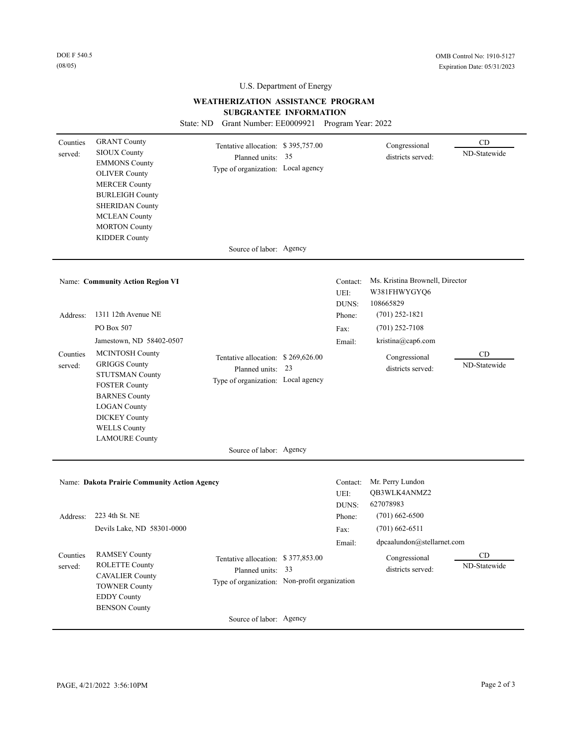# **WEATHERIZATION ASSISTANCE PROGRAM**

**SUBGRANTEE INFORMATION** 

State: ND Grant Number: EE0009921 Program Year: 2022

| Counties<br>served: | <b>GRANT County</b><br><b>SIOUX County</b><br><b>EMMONS County</b><br><b>OLIVER County</b><br><b>MERCER County</b><br><b>BURLEIGH County</b><br><b>SHERIDAN County</b><br><b>MCLEAN County</b><br><b>MORTON County</b><br><b>KIDDER County</b> | Tentative allocation: \$395,757.00<br>Planned units: 35<br>Type of organization: Local agency<br>Source of labor: Agency            |                           | Congressional<br>districts served:                           | CD<br>ND-Statewide |
|---------------------|------------------------------------------------------------------------------------------------------------------------------------------------------------------------------------------------------------------------------------------------|-------------------------------------------------------------------------------------------------------------------------------------|---------------------------|--------------------------------------------------------------|--------------------|
|                     |                                                                                                                                                                                                                                                |                                                                                                                                     |                           |                                                              |                    |
|                     | Name: Community Action Region VI                                                                                                                                                                                                               |                                                                                                                                     | Contact:<br>UEI:<br>DUNS: | Ms. Kristina Brownell, Director<br>W381FHWYGYQ6<br>108665829 |                    |
| Address:            | 1311 12th Avenue NE                                                                                                                                                                                                                            |                                                                                                                                     | Phone:                    | $(701)$ 252-1821                                             |                    |
|                     | PO Box 507                                                                                                                                                                                                                                     |                                                                                                                                     | Fax:                      | $(701)$ 252-7108                                             |                    |
|                     | Jamestown, ND 58402-0507                                                                                                                                                                                                                       |                                                                                                                                     | Email:                    | kristina@cap6.com                                            |                    |
| Counties<br>served: | MCINTOSH County<br><b>GRIGGS County</b><br><b>STUTSMAN County</b><br><b>FOSTER County</b><br><b>BARNES County</b><br><b>LOGAN County</b><br><b>DICKEY County</b><br><b>WELLS County</b><br><b>LAMOURE County</b>                               | Tentative allocation: \$269,626.00<br>Planned units: 23<br>Type of organization: Local agency                                       |                           | Congressional<br>districts served:                           | CD<br>ND-Statewide |
|                     |                                                                                                                                                                                                                                                | Source of labor: Agency                                                                                                             |                           |                                                              |                    |
|                     | Name: Dakota Prairie Community Action Agency                                                                                                                                                                                                   |                                                                                                                                     | Contact:<br>UEI:<br>DUNS: | Mr. Perry Lundon<br>QB3WLK4ANMZ2<br>627078983                |                    |
| Address:            | 223 4th St. NE                                                                                                                                                                                                                                 |                                                                                                                                     | Phone:                    | $(701)$ 662-6500                                             |                    |
|                     | Devils Lake, ND 58301-0000                                                                                                                                                                                                                     |                                                                                                                                     | Fax:                      | $(701)$ 662-6511<br>dpcaalundon@stellarnet.com               |                    |
| Counties<br>served: | <b>RAMSEY County</b><br><b>ROLETTE County</b><br><b>CAVALIER County</b><br><b>TOWNER County</b><br><b>EDDY County</b><br><b>BENSON County</b>                                                                                                  | Tentative allocation: \$377,853.00<br>Planned units: 33<br>Type of organization: Non-profit organization<br>Source of labor: Agency | Email:                    | Congressional<br>districts served:                           | CD<br>ND-Statewide |
|                     |                                                                                                                                                                                                                                                |                                                                                                                                     |                           |                                                              |                    |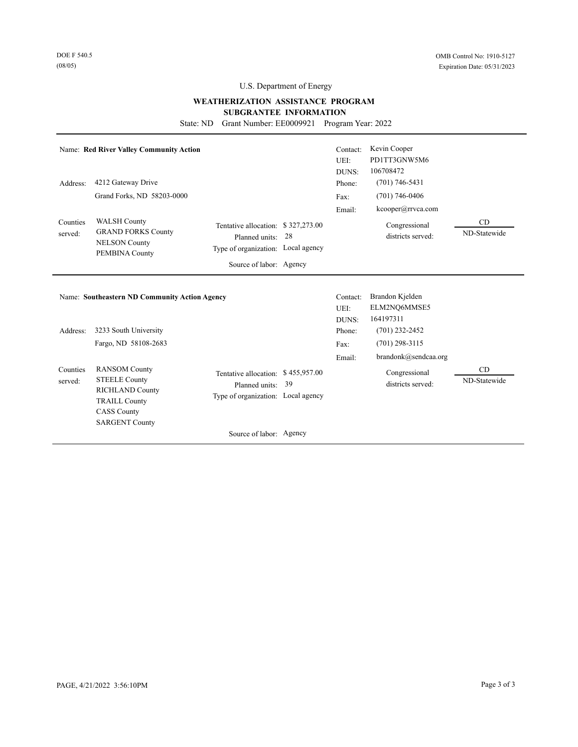# **WEATHERIZATION ASSISTANCE PROGRAM SUBGRANTEE INFORMATION**

State: ND Grant Number: EE0009921 Program Year: 2022

| Address:            | Name: Red River Valley Community Action<br>4212 Gateway Drive<br>Grand Forks, ND 58203-0000                                                                           |                                                                                                                       |    | Contact:<br>UEI:<br>DUNS:<br>Phone:<br>Fax: | Kevin Cooper<br>PD1TT3GNW5M6<br>106708472<br>$(701)$ 746-5431<br>$(701)$ 746-0406 |                    |
|---------------------|-----------------------------------------------------------------------------------------------------------------------------------------------------------------------|-----------------------------------------------------------------------------------------------------------------------|----|---------------------------------------------|-----------------------------------------------------------------------------------|--------------------|
| Counties<br>served: | <b>WALSH County</b><br><b>GRAND FORKS County</b><br><b>NELSON County</b><br>PEMBINA County                                                                            | Tentative allocation: \$327,273.00<br>Planned units:<br>Type of organization: Local agency<br>Source of labor: Agency | 28 | Email:                                      | kcooper@rrvca.com<br>Congressional<br>districts served:                           | CD<br>ND-Statewide |
|                     |                                                                                                                                                                       |                                                                                                                       |    |                                             |                                                                                   |                    |
| Address:            | <b>Name: Southeastern ND Community Action Agency</b><br>3233 South University                                                                                         |                                                                                                                       |    | Contact:<br>UEI:<br>DUNS:<br>Phone:         | Brandon Kjelden<br>ELM2NQ6MMSE5<br>164197311<br>$(701)$ 232-2452                  |                    |
| Counties<br>served: | Fargo, ND 58108-2683<br><b>RANSOM County</b><br><b>STEELE County</b><br><b>RICHLAND County</b><br><b>TRAILL County</b><br><b>CASS County</b><br><b>SARGENT County</b> | Tentative allocation: \$455,957.00<br>Planned units:<br>Type of organization: Local agency                            | 39 | Fax:<br>Email:                              | $(701)$ 298-3115<br>brandonk@sendcaa.org<br>Congressional<br>districts served:    | CD<br>ND-Statewide |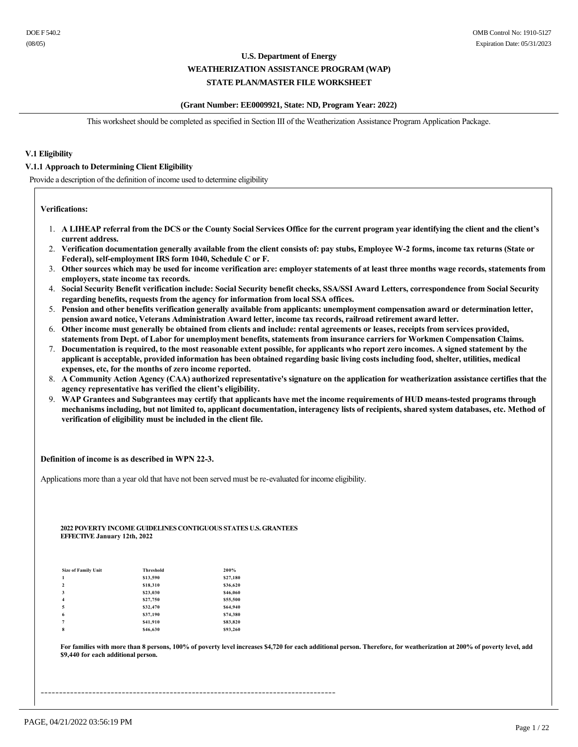#### **(Grant Number: EE0009921, State: ND, Program Year: 2022)**

This worksheet should be completed as specified in Section III of the Weatherization Assistance Program Application Package.

### **V.1 Eligibility**

#### **V.1.1 Approach to Determining Client Eligibility**

Provide a description of the definition of income used to determine eligibility

#### **Verifications:**

- 1. **A LIHEAP referral from the DCS or the County Social Services Office for the current program year identifying the client and the client's current address.**
- 2. **Verification documentation generally available from the client consists of: pay stubs, Employee W2 forms, income tax returns (State or**  Federal), self-employment IRS form 1040, Schedule C or F.
- 3. **Other sources which may be used for income verification are: employer statements of at least three months wage records, statements from employers, state income tax records.**
- 4. **Social Security Benefit verification include: Social Security benefit checks, SSA/SSI Award Letters, correspondence from Social Security regarding benefits, requests from the agency for information from local SSA offices.**
- 5. **Pension and other benefits verification generally available from applicants: unemployment compensation award or determination letter, pension award notice, Veterans Administration Award letter, income tax records, railroad retirement award letter.**
- 6. **Other income must generally be obtained from clients and include: rental agreements or leases, receipts from services provided, statements from Dept. of Labor for unemployment benefits, statements from insurance carriers for Workmen Compensation Claims.**
- 7. **Documentation is required, to the most reasonable extent possible, for applicants who report zero incomes. A signed statement by the applicant is acceptable, provided information has been obtained regarding basic living costs including food, shelter, utilities, medical expenses, etc, for the months of zero income reported.**
- 8. **A Community Action Agency (CAA) authorized representative's signature on the application for weatherization assistance certifies that the agency representative has verified the client's eligibility.**
- 9. **WAP Grantees and Subgrantees may certify that applicants have met the income requirements of HUD meanstested programs through mechanisms including, but not limited to, applicant documentation, interagency lists of recipients, shared system databases, etc. Method of verification of eligibility must be included in the client file.**

#### **Definition of income is as described in WPN 223.**

Applications more than a year old that have not been served must be re-evaluated for income eligibility.

#### **2022 POVERTY INCOME GUIDELINES CONTIGUOUS STATES U.S. GRANTEES EFFECTIVE January 12th, 2022**

| <b>Size of Family Unit</b> | <b>Threshold</b> | 200%     |
|----------------------------|------------------|----------|
| 1                          | \$13,590         | \$27,180 |
| $\overline{2}$             | \$18,310         | \$36,620 |
| 3                          | \$23,030         | \$46,060 |
| $\overline{4}$             | \$27,750         | \$55,500 |
| 5                          | \$32,470         | \$64,940 |
| 6                          | \$37,190         | \$74,380 |
| $\overline{7}$             | \$41,910         | \$83,820 |
| 8                          | \$46,630         | \$93,260 |

For families with more than 8 persons, 100% of poverty level increases \$4,720 for each additional person. Therefore, for weatherization at 200% of poverty level, add **\$9,440 for each additional person.**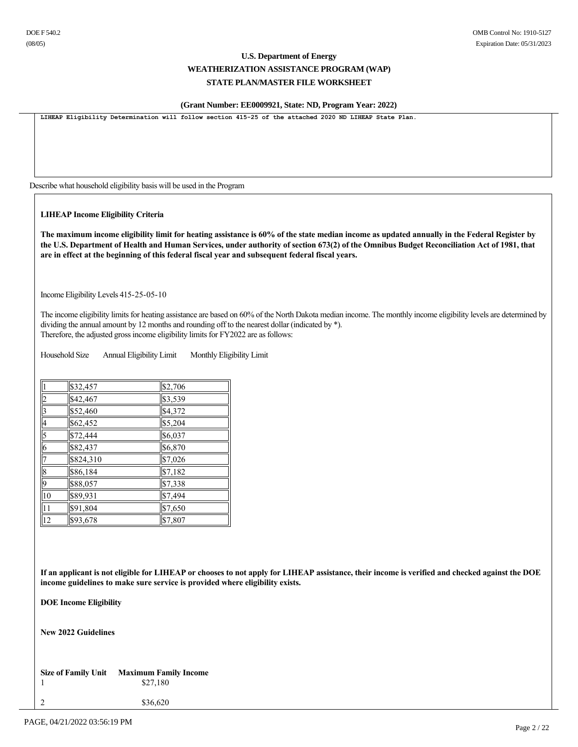### **(Grant Number: EE0009921, State: ND, Program Year: 2022)**

LIHEAP Eligibility Determination will follow section 415-25 of the attached 2020 ND LIHEAP State Plan.

Describe what household eligibility basis will be used in the Program

**LIHEAP Income Eligibility Criteria**

**The maximum income eligibility limit for heating assistance is 60% of the state median income as updated annually in the Federal Register by the U.S. Department of Health and Human Services, under authority of section 673(2) of the Omnibus Budget Reconciliation Act of 1981, that are in effect at the beginning of this federal fiscal year and subsequent federal fiscal years.**

Income Eligibility Levels 415-25-05-10

The income eligibility limits for heating assistance are based on 60% of the North Dakota median income. The monthly income eligibility levels are determined by dividing the annual amount by 12 months and rounding off to the nearest dollar (indicated by \*). Therefore, the adjusted gross income eligibility limits for FY2022 are as follows:

Household Size Annual Eligibility Limit Monthly Eligibility Limit

|                 | \$32,457  | \$2,706 |
|-----------------|-----------|---------|
| $\overline{2}$  | \$42,467  | \$3,539 |
| 3               | \$52,460  | \$4,372 |
| 4               | \$62,452  | \$5,204 |
| $\overline{5}$  | \$72,444  | \$6,037 |
| $\overline{6}$  | \$82,437  | \$6,870 |
| 7               | \$824,310 | \$7,026 |
| $\overline{8}$  | \$86,184  | \$7,182 |
| 9               | \$88,057  | \$7,338 |
| $\overline{10}$ | \$89,931  | \$7,494 |
| 11              | \$91,804  | \$7,650 |
| $\overline{12}$ | \$93,678  | \$7,807 |

**If an applicant is not eligible for LIHEAP or chooses to not apply for LIHEAP assistance, their income is verified and checked against the DOE income guidelines to make sure service is provided where eligibility exists.**

**DOE Income Eligibility**

**New 2022 Guidelines**

**Size of Family Unit Maximum Family Income** 1 \$27,180

2 \$36,620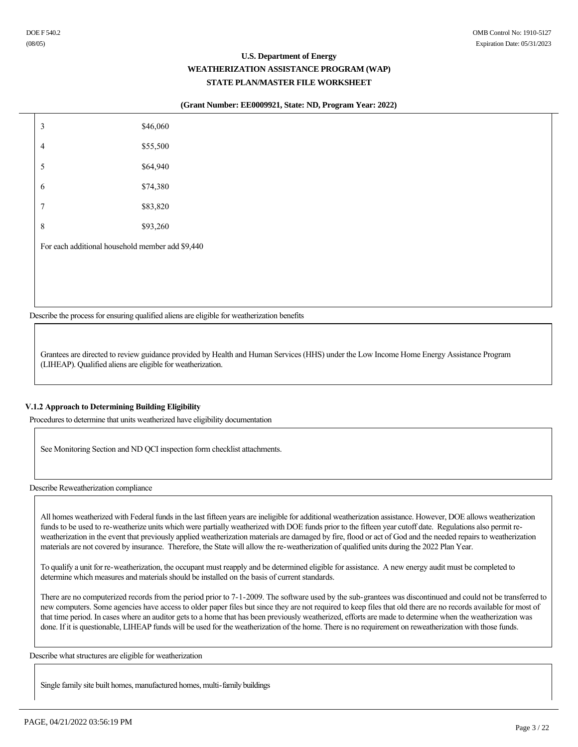#### **(Grant Number: EE0009921, State: ND, Program Year: 2022)**

| $\mathfrak{Z}$                                   | \$46,060 |
|--------------------------------------------------|----------|
| $\overline{4}$                                   | \$55,500 |
| 5                                                | \$64,940 |
| 6                                                | \$74,380 |
| $\tau$                                           | \$83,820 |
| $\,8\,$                                          | \$93,260 |
| For each additional household member add \$9,440 |          |
|                                                  |          |
|                                                  |          |
|                                                  |          |

Describe the process for ensuring qualified aliens are eligible for weatherization benefits

Grantees are directed to review guidance provided by Health and Human Services (HHS) under the Low Income Home Energy Assistance Program (LIHEAP). Qualified aliens are eligible for weatherization.

### **V.1.2 Approach to Determining Building Eligibility**

Procedures to determine that units weatherized have eligibility documentation

See Monitoring Section and ND QCI inspection form checklist attachments.

Describe Reweatherization compliance

All homes weatherized with Federal funds in the last fifteen years are ineligible for additional weatherization assistance. However, DOE allows weatherization funds to be used to re-weatherize units which were partially weatherized with DOE funds prior to the fifteen year cutoff date. Regulations also permit reweatherization in the event that previously applied weatherization materials are damaged by fire, flood or act of God and the needed repairs to weatherization materials are not covered by insurance. Therefore, the State will allow the reweatherization of qualified units during the 2022 Plan Year.

To qualify a unit for reweatherization, the occupant must reapply and be determined eligible for assistance. A new energy audit must be completed to determine which measures and materials should be installed on the basis of current standards.

There are no computerized records from the period prior to 7-1-2009. The software used by the sub-grantees was discontinued and could not be transferred to new computers. Some agencies have access to older paper files but since they are not required to keep files that old there are no records available for most of that time period. In cases where an auditor gets to a home that has been previously weatherized, efforts are made to determine when the weatherization was done. If it is questionable, LIHEAP funds will be used for the weatherization of the home. There is no requirement on reweatherization with those funds.

Describe what structures are eligible for weatherization

Single family site built homes, manufactured homes, multi-family buildings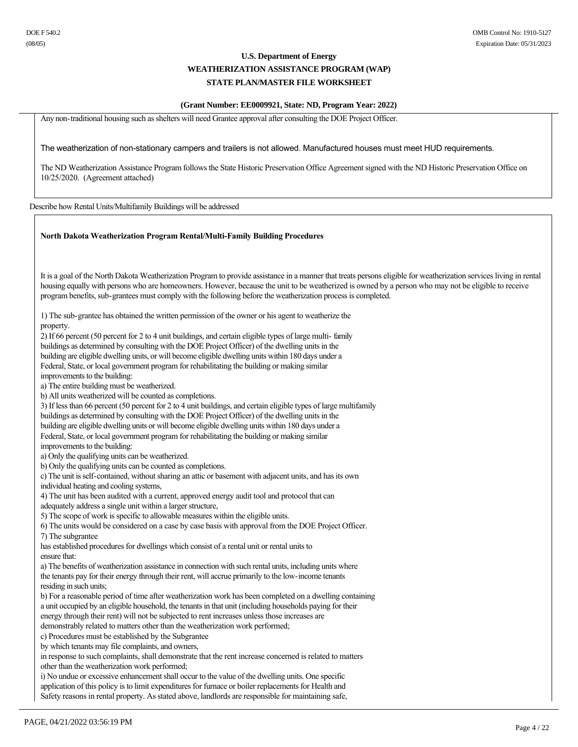# **(Grant Number: EE0009921, State: ND, Program Year: 2022)**

Any non-traditional housing such as shelters will need Grantee approval after consulting the DOE Project Officer.

#### The weatherization of nonstationary campers and trailers is not allowed. Manufactured houses must meet HUD requirements.

The ND Weatherization Assistance Program follows the State Historic Preservation Office Agreement signed with the ND Historic Preservation Office on 10/25/2020. (Agreement attached)

Describe how Rental Units/Multifamily Buildings will be addressed

#### **North Dakota Weatherization Program Rental/Multi-Family Building Procedures**

It is a goal of the North Dakota Weatherization Program to provide assistance in a manner that treats persons eligible for weatherization services living in rental housing equally with persons who are homeowners. However, because the unit to be weatherized is owned by a person who may not be eligible to receive program benefits, sub-grantees must comply with the following before the weatherization process is completed.

1) The sub-grantee has obtained the written permission of the owner or his agent to weatherize the property.

2) If 66 percent (50 percent for 2 to 4 unit buildings, and certain eligible types of large multi family buildings as determined by consulting with the DOE Project Officer) of the dwelling units in the building are eligible dwelling units, or will become eligible dwelling units within 180 days under a Federal, State, or local government program for rehabilitating the building or making similar improvements to the building: a) The entire building must be weatherized. b) All units weatherized will be counted as completions.

3) If less than 66 percent (50 percent for 2 to 4 unit buildings, and certain eligible types of large multifamily

buildings as determined by consulting with the DOE Project Officer) of the dwelling units in the

building are eligible dwelling units or will become eligible dwelling units within 180 days under a

Federal, State, or local government program for rehabilitating the building or making similar

improvements to the building:

a) Only the qualifying units can be weatherized.

b) Only the qualifying units can be counted as completions.

c) The unit is self-contained, without sharing an attic or basement with adjacent units, and has its own individual heating and cooling systems,

4) The unit has been audited with a current, approved energy audit tool and protocol that can

adequately address a single unit within a larger structure,

5) The scope of work is specific to allowable measures within the eligible units.

6) The units would be considered on a case by case basis with approval from the DOE Project Officer.

7) The subgrantee

has established procedures for dwellings which consist of a rental unit or rental units to ensure that:

a) The benefits of weatherization assistance in connection with such rental units, including units where the tenants pay for their energy through their rent, will accrue primarily to the low-income tenants

residing in such units;

b) For a reasonable period of time after weatherization work has been completed on a dwelling containing a unit occupied by an eligible household, the tenants in that unit (including households paying for their

energy through their rent) will not be subjected to rent increases unless those increases are

demonstrably related to matters other than the weatherization work performed;

c) Procedures must be established by the Subgrantee

by which tenants may file complaints, and owners,

in response to such complaints, shall demonstrate that the rent increase concerned is related to matters other than the weatherization work performed;

i) No undue or excessive enhancement shall occur to the value of the dwelling units. One specific application of this policy is to limit expenditures for furnace or boiler replacements for Health and Safety reasons in rental property. As stated above, landlords are responsible for maintaining safe,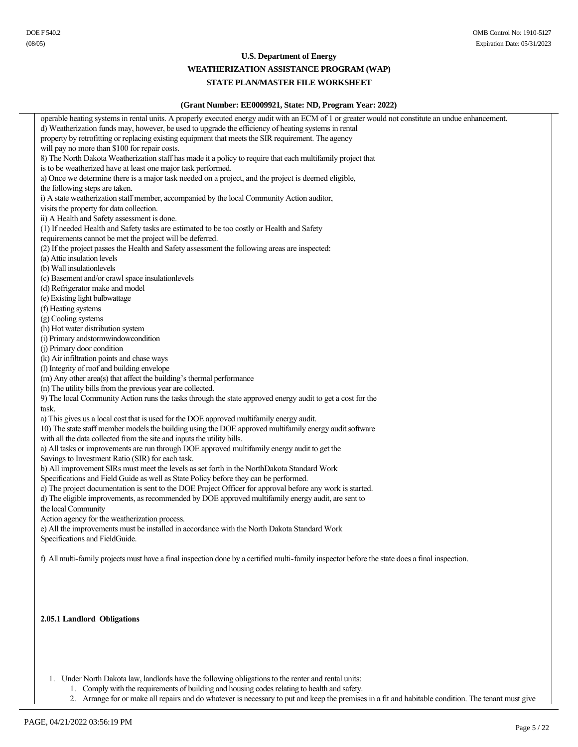# **WEATHERIZATION ASSISTANCE PROGRAM (WAP)**

# **STATE PLAN/MASTER FILE WORKSHEET**

| (Grant Number: EE0009921, State: ND, Program Year: 2022)                                                                                          |
|---------------------------------------------------------------------------------------------------------------------------------------------------|
| operable heating systems in rental units. A properly executed energy audit with an ECM of 1 or greater would not constitute an undue enhancement. |
| d) Weatherization funds may, however, be used to upgrade the efficiency of heating systems in rental                                              |
| property by retrofitting or replacing existing equipment that meets the SIR requirement. The agency                                               |
| will pay no more than \$100 for repair costs.                                                                                                     |
| 8) The North Dakota Weatherization staff has made it a policy to require that each multifamily project that                                       |
| is to be weatherized have at least one major task performed.                                                                                      |
| a) Once we determine there is a major task needed on a project, and the project is deemed eligible,                                               |
| the following steps are taken.                                                                                                                    |
| i) A state weatherization staff member, accompanied by the local Community Action auditor,                                                        |
| visits the property for data collection.                                                                                                          |
| ii) A Health and Safety assessment is done.                                                                                                       |
| (1) If needed Health and Safety tasks are estimated to be too costly or Health and Safety                                                         |
| requirements cannot be met the project will be deferred.                                                                                          |
| (2) If the project passes the Health and Safety assessment the following areas are inspected:                                                     |
| (a) Attic insulation levels                                                                                                                       |
| (b) Wall insulationlevels                                                                                                                         |
| (c) Basement and/or crawl space insulationlevels                                                                                                  |
| (d) Refrigerator make and model                                                                                                                   |
| (e) Existing light bulbwattage                                                                                                                    |
| (f) Heating systems                                                                                                                               |
| (g) Cooling systems                                                                                                                               |
| (h) Hot water distribution system                                                                                                                 |
| (i) Primary andstormwindowcondition                                                                                                               |
| (j) Primary door condition                                                                                                                        |
| (k) Air infiltration points and chase ways                                                                                                        |
| (l) Integrity of roof and building envelope                                                                                                       |
| (m) Any other area(s) that affect the building's thermal performance                                                                              |
| (n) The utility bills from the previous year are collected.                                                                                       |
| 9) The local Community Action runs the tasks through the state approved energy audit to get a cost for the                                        |
| task.                                                                                                                                             |
| a) This gives us a local cost that is used for the DOE approved multifamily energy audit.                                                         |
| 10) The state staff member models the building using the DOE approved multifamily energy audit software                                           |
| with all the data collected from the site and inputs the utility bills.                                                                           |
| a) All tasks or improvements are run through DOE approved multifamily energy audit to get the                                                     |
| Savings to Investment Ratio (SIR) for each task.                                                                                                  |
| b) All improvement SIRs must meet the levels as set forth in the NorthDakota Standard Work                                                        |
| Specifications and Field Guide as well as State Policy before they can be performed.                                                              |
| c) The project documentation is sent to the DOE Project Officer for approval before any work is started.                                          |
| d) The eligible improvements, as recommended by DOE approved multifamily energy audit, are sent to                                                |
| the local Community                                                                                                                               |
| Action agency for the weatherization process.                                                                                                     |
| e) All the improvements must be installed in accordance with the North Dakota Standard Work                                                       |
| Specifications and FieldGuide.                                                                                                                    |
|                                                                                                                                                   |
| f) All multi-family projects must have a final inspection done by a certified multi-family inspector before the state does a final inspection.    |
|                                                                                                                                                   |
|                                                                                                                                                   |
|                                                                                                                                                   |
|                                                                                                                                                   |
| 2.05.1 Landlord Obligations                                                                                                                       |
|                                                                                                                                                   |
|                                                                                                                                                   |
|                                                                                                                                                   |
|                                                                                                                                                   |
|                                                                                                                                                   |
| 1. Under North Dakota law, landlords have the following obligations to the renter and rental units:                                               |
|                                                                                                                                                   |

- 1. Comply with the requirements of building and housing codes relating to health and safety.
- 2. Arrange for or make all repairs and do whatever is necessary to put and keep the premises in a fit and habitable condition. The tenant must give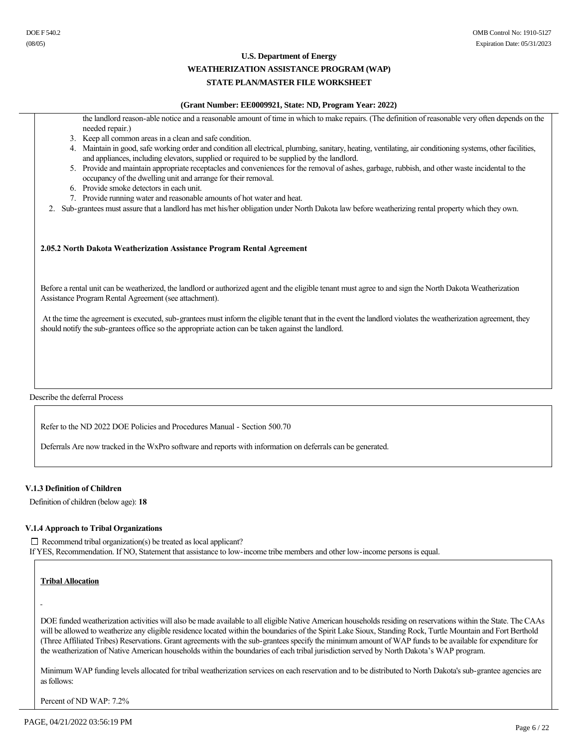#### **WEATHERIZATION ASSISTANCE PROGRAM (WAP)**

# **STATE PLAN/MASTER FILE WORKSHEET**

#### **(Grant Number: EE0009921, State: ND, Program Year: 2022)**

the landlord reason-able notice and a reasonable amount of time in which to make repairs. (The definition of reasonable very often depends on the needed repair.)

- 3. Keep all common areas in a clean and safe condition.
- 4. Maintain in good, safe working order and condition all electrical, plumbing, sanitary, heating, ventilating, air conditioning systems, other facilities, and appliances, including elevators, supplied or required to be supplied by the landlord.
- 5. Provide and maintain appropriate receptacles and conveniences for the removal of ashes, garbage, rubbish, and other waste incidental to the occupancy of the dwelling unit and arrange for their removal.
- 6. Provide smoke detectors in each unit.
- 7. Provide running water and reasonable amounts of hot water and heat.
- 2. Sub-grantees must assure that a landlord has met his/her obligation under North Dakota law before weatherizing rental property which they own.

#### **2.05.2 North Dakota Weatherization Assistance Program Rental Agreement**

Before a rental unit can be weatherized, the landlord or authorized agent and the eligible tenant must agree to and sign the North Dakota Weatherization Assistance Program Rental Agreement (see attachment).

At the time the agreement is executed, sub-grantees must inform the eligible tenant that in the event the landlord violates the weatherization agreement, they should notify the sub-grantees office so the appropriate action can be taken against the landlord.

Describe the deferral Process

Refer to the ND 2022 DOE Policies and Procedures Manual - Section 500.70

Deferrals Are now tracked in the WxPro software and reports with information on deferrals can be generated.

#### **V.1.3 Definition of Children**

Definition of children (below age): **18**

#### **V.1.4 Approach to Tribal Organizations**

 $\Box$  Recommend tribal organization(s) be treated as local applicant? If YES, Recommendation. If NO, Statement that assistance to low-income tribe members and other low-income persons is equal.

### **Tribal Allocation**

DOE funded weatherization activities will also be made available to all eligible Native American households residing on reservations within the State. The CAAs will be allowed to weatherize any eligible residence located within the boundaries of the Spirit Lake Sioux, Standing Rock, Turtle Mountain and Fort Berthold (Three Affiliated Tribes) Reservations. Grant agreements with the sub-grantees specify the minimum amount of WAP funds to be available for expenditure for the weatherization of Native American households within the boundaries of each tribal jurisdiction served by North Dakota's WAP program.

Minimum WAP funding levels allocated for tribal weatherization services on each reservation and to be distributed to North Dakota's sub-grantee agencies are as follows:

Percent of ND WAP: 7.2%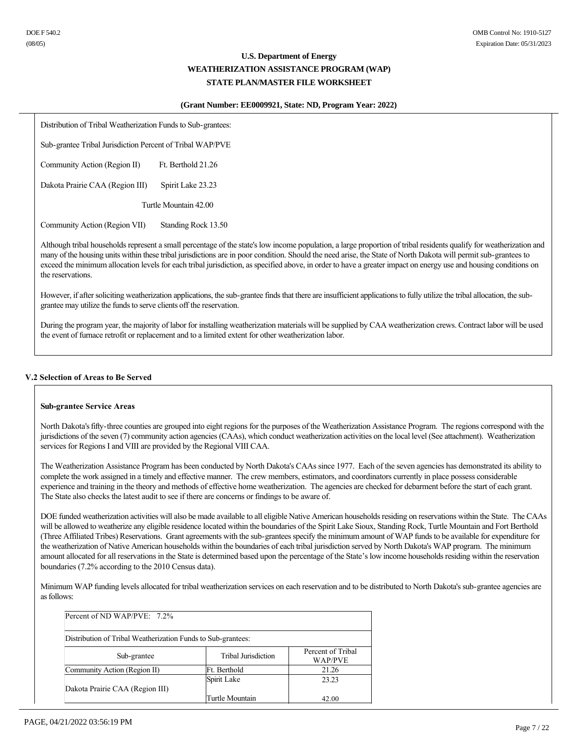#### **(Grant Number: EE0009921, State: ND, Program Year: 2022)**

Distribution of Tribal Weatherization Funds to Sub-grantees:

Sub-grantee Tribal Jurisdiction Percent of Tribal WAP/PVE

Community Action (Region II) Ft. Berthold 21.26

Dakota Prairie CAA (Region III) Spirit Lake 23.23

Turtle Mountain 42.00

Community Action (Region VII) Standing Rock 13.50

Although tribal households represent a small percentage of the state's low income population, a large proportion of tribal residents qualify for weatherization and many of the housing units within these tribal jurisdictions are in poor condition. Should the need arise, the State of North Dakota will permit sub-grantees to exceed the minimum allocation levels for each tribal jurisdiction, as specified above, in order to have a greater impact on energy use and housing conditions on the reservations.

However, if after soliciting weatherization applications, the sub-grantee finds that there are insufficient applications to fully utilize the tribal allocation, the subgrantee may utilize the funds to serve clients off the reservation.

During the program year, the majority of labor for installing weatherization materials will be supplied by CAA weatherization crews. Contract labor will be used the event of furnace retrofit or replacement and to a limited extent for other weatherization labor.

### **V.2 Selection of Areas to Be Served**

#### **Sub-grantee Service Areas**

North Dakota's fifty-three counties are grouped into eight regions for the purposes of the Weatherization Assistance Program. The regions correspond with the jurisdictions of the seven (7) community action agencies (CAAs), which conduct weatherization activities on the local level (See attachment). Weatherization services for Regions I and VIII are provided by the Regional VIII CAA.

The Weatherization Assistance Program has been conducted by North Dakota's CAAs since 1977. Each of the seven agencies has demonstrated its ability to complete the work assigned in a timely and effective manner. The crew members, estimators, and coordinators currently in place possess considerable experience and training in the theory and methods of effective home weatherization. The agencies are checked for debarment before the start of each grant. The State also checks the latest audit to see if there are concerns or findings to be aware of.

DOE funded weatherization activities will also be made available to all eligible Native American households residing on reservations within the State. The CAAs will be allowed to weatherize any eligible residence located within the boundaries of the Spirit Lake Sioux, Standing Rock, Turtle Mountain and Fort Berthold (Three Affiliated Tribes) Reservations. Grant agreements with the sub-grantees specify the minimum amount of WAP funds to be available for expenditure for the weatherization of Native American households within the boundaries of each tribal jurisdiction served by North Dakota's WAP program. The minimum amount allocated for all reservations in the State is determined based upon the percentage of the State's low income households residing within the reservation boundaries (7.2% according to the 2010 Census data).

Minimum WAP funding levels allocated for tribal weatherization services on each reservation and to be distributed to North Dakota's sub-grantee agencies are as follows:

| Percent of ND WAP/PVE: $7.2\%$                               |                            |                              |  |  |  |
|--------------------------------------------------------------|----------------------------|------------------------------|--|--|--|
| Distribution of Tribal Weatherization Funds to Sub-grantees: |                            |                              |  |  |  |
| Sub-grantee                                                  | <b>Tribal Jurisdiction</b> | Percent of Tribal<br>WAP/PVE |  |  |  |
| Community Action (Region II)                                 | Ft. Berthold               | 21.26                        |  |  |  |
| Dakota Prairie CAA (Region III)                              | Spirit Lake                | 23.23                        |  |  |  |
|                                                              | Turtle Mountain            | 42.00                        |  |  |  |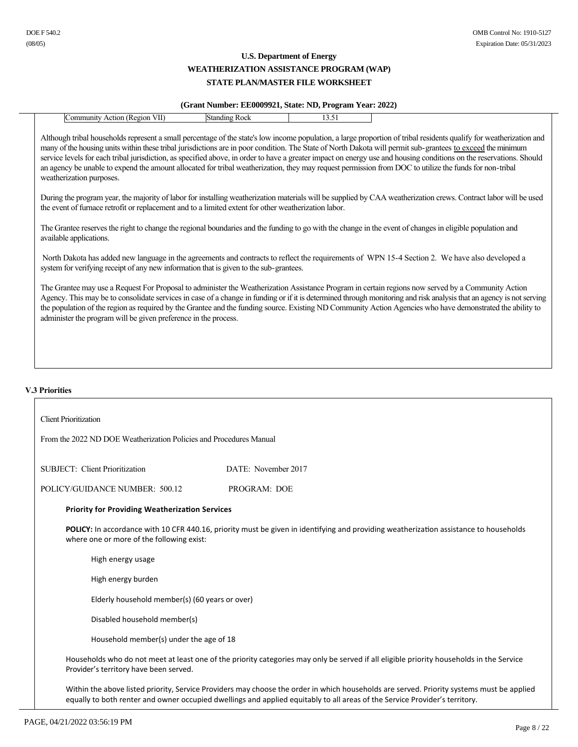# **(Grant Number: EE0009921, State: ND, Program Year: 2022)**

|                                                                                                                                                                                      | (Orant Ramber; EE00092221; Diate; Res, Frogram Fear; 2022) |       |                                                                                                                                                                                                                                                                                                                                                                                                                                                                                                           |
|--------------------------------------------------------------------------------------------------------------------------------------------------------------------------------------|------------------------------------------------------------|-------|-----------------------------------------------------------------------------------------------------------------------------------------------------------------------------------------------------------------------------------------------------------------------------------------------------------------------------------------------------------------------------------------------------------------------------------------------------------------------------------------------------------|
| Community Action (Region VII)                                                                                                                                                        | <b>Standing Rock</b>                                       | 13.51 |                                                                                                                                                                                                                                                                                                                                                                                                                                                                                                           |
| an agency be unable to expend the amount allocated for tribal weatherization, they may request permission from DOC to utilize the funds for non-tribal<br>weatherization purposes.   |                                                            |       | Although tribal households represent a small percentage of the state's low income population, a large proportion of tribal residents qualify for weatherization and<br>many of the housing units within these tribal jurisdictions are in poor condition. The State of North Dakota will permit sub-grantees to exceed the minimum<br>service levels for each tribal jurisdiction, as specified above, in order to have a greater impact on energy use and housing conditions on the reservations. Should |
| the event of furnace retrofit or replacement and to a limited extent for other weatherization labor.                                                                                 |                                                            |       | During the program year, the majority of labor for installing weatherization materials will be supplied by CAA weatherization crews. Contract labor will be used                                                                                                                                                                                                                                                                                                                                          |
| The Grantee reserves the right to change the regional boundaries and the funding to go with the change in the event of changes in eligible population and<br>available applications. |                                                            |       |                                                                                                                                                                                                                                                                                                                                                                                                                                                                                                           |
| system for verifying receipt of any new information that is given to the sub-grantees.                                                                                               |                                                            |       | North Dakota has added new language in the agreements and contracts to reflect the requirements of WPN 15-4 Section 2. We have also developed a                                                                                                                                                                                                                                                                                                                                                           |
| administer the program will be given preference in the process.                                                                                                                      |                                                            |       | The Grantee may use a Request For Proposal to administer the Weatherization Assistance Program in certain regions now served by a Community Action<br>Agency. This may be to consolidate services in case of a change in funding or if it is determined through monitoring and risk analysis that an agency is not serving<br>the population of the region as required by the Grantee and the funding source. Existing ND Community Action Agencies who have demonstrated the ability to                  |
|                                                                                                                                                                                      |                                                            |       |                                                                                                                                                                                                                                                                                                                                                                                                                                                                                                           |

# **V.3 Priorities**

| <b>Client Prioritization</b>                                                                                                                                                              |                                                                                                                                                                                                                                                                          |  |  |  |
|-------------------------------------------------------------------------------------------------------------------------------------------------------------------------------------------|--------------------------------------------------------------------------------------------------------------------------------------------------------------------------------------------------------------------------------------------------------------------------|--|--|--|
| From the 2022 ND DOE Weatherization Policies and Procedures Manual                                                                                                                        |                                                                                                                                                                                                                                                                          |  |  |  |
| <b>SUBJECT: Client Prioritization</b>                                                                                                                                                     | DATE: November 2017                                                                                                                                                                                                                                                      |  |  |  |
| POLICY/GUIDANCE NUMBER: 500.12                                                                                                                                                            | <b>PROGRAM: DOE</b>                                                                                                                                                                                                                                                      |  |  |  |
| <b>Priority for Providing Weatherization Services</b>                                                                                                                                     |                                                                                                                                                                                                                                                                          |  |  |  |
| <b>POLICY:</b> In accordance with 10 CFR 440.16, priority must be given in identifying and providing weatherization assistance to households<br>where one or more of the following exist: |                                                                                                                                                                                                                                                                          |  |  |  |
| High energy usage                                                                                                                                                                         |                                                                                                                                                                                                                                                                          |  |  |  |
| High energy burden                                                                                                                                                                        |                                                                                                                                                                                                                                                                          |  |  |  |
| Elderly household member(s) (60 years or over)                                                                                                                                            |                                                                                                                                                                                                                                                                          |  |  |  |
| Disabled household member(s)                                                                                                                                                              |                                                                                                                                                                                                                                                                          |  |  |  |
| Household member(s) under the age of 18                                                                                                                                                   |                                                                                                                                                                                                                                                                          |  |  |  |
| Provider's territory have been served.                                                                                                                                                    | Households who do not meet at least one of the priority categories may only be served if all eligible priority households in the Service                                                                                                                                 |  |  |  |
|                                                                                                                                                                                           | Within the above listed priority, Service Providers may choose the order in which households are served. Priority systems must be applied<br>equally to both renter and owner occupied dwellings and applied equitably to all areas of the Service Provider's territory. |  |  |  |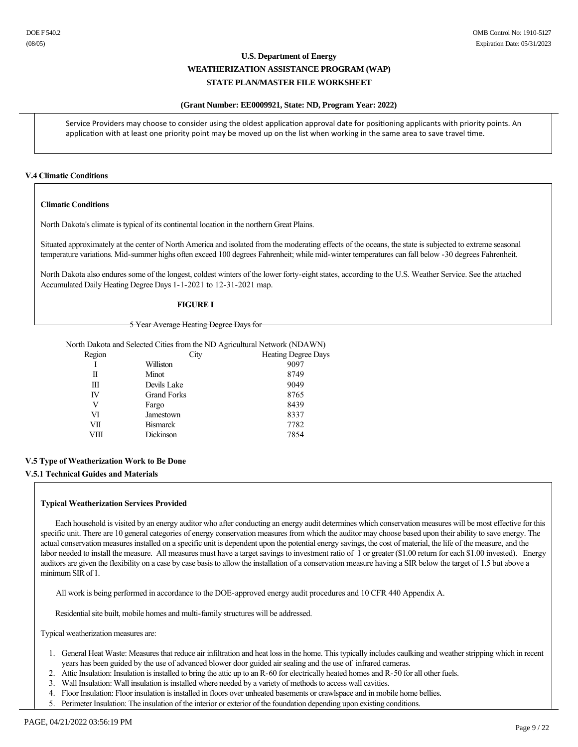#### **(Grant Number: EE0009921, State: ND, Program Year: 2022)**

Service Providers may choose to consider using the oldest application approval date for positioning applicants with priority points. An application with at least one priority point may be moved up on the list when working in the same area to save travel time.

#### **V.4 Climatic Conditions**

#### **Climatic Conditions**

North Dakota's climate is typical of its continental location in the northern Great Plains.

Situated approximately at the center of North America and isolated from the moderating effects of the oceans, the state is subjected to extreme seasonal temperature variations. Mid-summer highs often exceed 100 degrees Fahrenheit; while mid-winter temperatures can fall below -30 degrees Fahrenheit.

North Dakota also endures some of the longest, coldest winters of the lower forty-eight states, according to the U.S. Weather Service. See the attached Accumulated Daily Heating Degree Days 1-1-2021 to 12-31-2021 map.

#### **FIGURE I**

#### 5 Year Average Heating Degree Days for

North Dakota and Selected Cities from the ND Agricultural Network (NDAWN)

| City               | <b>Heating Degree Days</b> |
|--------------------|----------------------------|
| Williston          | 9097                       |
| Minot              | 8749                       |
| Devils Lake        | 9049                       |
| <b>Grand Forks</b> | 8765                       |
| Fargo              | 8439                       |
| Jamestown          | 8337                       |
| <b>Bismarck</b>    | 7782                       |
| Dickinson          | 7854                       |
|                    |                            |

### **V.5 Type of Weatherization Work to Be Done**

**V.5.1 Technical Guides and Materials**

#### **Typical Weatherization Services Provided**

 Each household is visited by an energy auditor who after conducting an energy audit determines which conservation measures will be most effective for this specific unit. There are 10 general categories of energy conservation measures from which the auditor may choose based upon their ability to save energy. The actual conservation measures installed on a specific unit is dependent upon the potential energy savings, the cost of material, the life of the measure, and the labor needed to install the measure. All measures must have a target savings to investment ratio of 1 or greater (\$1.00 return for each \$1.00 invested). Energy auditors are given the flexibility on a case by case basis to allow the installation of a conservation measure having a SIR below the target of 1.5 but above a minimum SIR of 1.

All work is being performed in accordance to the DOE-approved energy audit procedures and 10 CFR 440 Appendix A.

Residential site built, mobile homes and multi-family structures will be addressed.

Typical weatherization measures are:

- 1. General Heat Waste: Measures that reduce air infiltration and heat loss in the home. This typically includes caulking and weather stripping which in recent years has been guided by the use of advanced blower door guided air sealing and the use of infrared cameras.
- 2. Attic Insulation: Insulation is installed to bring the attic up to an R-60 for electrically heated homes and R-50 for all other fuels.
- 3. Wall Insulation: Wall insulation is installed where needed by a variety of methods to access wall cavities.
- 4. Floor Insulation: Floor insulation is installed in floors over unheated basements or crawlspace and in mobile home bellies.
- 5. Perimeter Insulation: The insulation of the interior or exterior of the foundation depending upon existing conditions.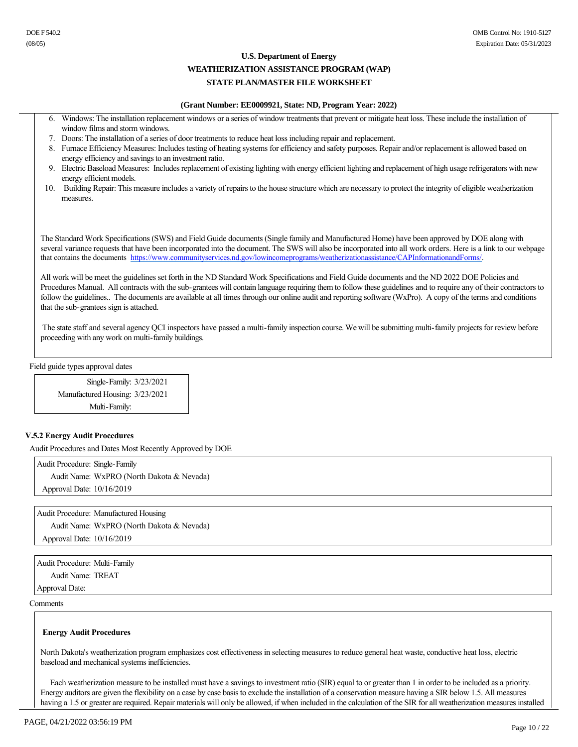### **WEATHERIZATION ASSISTANCE PROGRAM (WAP)**

# **STATE PLAN/MASTER FILE WORKSHEET**

#### **(Grant Number: EE0009921, State: ND, Program Year: 2022)**

- 6. Windows: The installation replacement windows or a series of window treatments that prevent or mitigate heat loss. These include the installation of window films and storm windows.
- 7. Doors: The installation of a series of door treatments to reduce heat loss including repair and replacement.
- 8. Furnace Efficiency Measures: Includes testing of heating systems for efficiency and safety purposes. Repair and/or replacement is allowed based on energy efficiency and savings to an investment ratio.
- 9. Electric Baseload Measures: Includes replacement of existing lighting with energy efficient lighting and replacement of high usage refrigerators with new energy efficient models.
- 10. Building Repair: This measure includes a variety of repairs to the house structure which are necessary to protect the integrity of eligible weatherization measures.

The Standard Work Specifications (SWS) and Field Guide documents (Single family and Manufactured Home) have been approved by DOE along with several variance requests that have been incorporated into the document. The SWS will also be incorporated into all work orders. Here is a link to our webpage that contains the documents https://www.communityservices.nd.gov/lowincomeprograms/weatherizationassistance/CAPInformationandForms/.

All work will be meet the guidelines set forth in the ND Standard Work Specifications and Field Guide documents and the ND 2022 DOE Policies and Procedures Manual. All contracts with the sub-grantees will contain language requiring them to follow these guidelines and to require any of their contractors to follow the guidelines.. The documents are available at all times through our online audit and reporting software (WxPro). A copy of the terms and conditions that the sub-grantees sign is attached.

The state staff and several agency QCI inspectors have passed a multi-family inspection course. We will be submitting multi-family projects for review before proceeding with any work on multi-family buildings.

Field guide types approval dates

Single-Family: 3/23/2021 Manufactured Housing: 3/23/2021 Multi-Family:

### **V.5.2 Energy Audit Procedures**

Audit Procedures and Dates Most Recently Approved by DOE

Audit Procedure: Single-Family Audit Name: WxPRO (North Dakota & Nevada) Approval Date: 10/16/2019

Audit Procedure: Manufactured Housing Audit Name: WxPRO (North Dakota & Nevada) Approval Date: 10/16/2019

Audit Procedure: Multi-Family Audit Name: TREAT Approval Date:

**Comments** 

#### **Energy Audit Procedures**

North Dakota's weatherization program emphasizes cost effectiveness in selecting measures to reduce general heat waste, conductive heat loss, electric baseload and mechanical systems inefficiencies.

 Each weatherization measure to be installed must have a savings to investment ratio (SIR) equal to or greater than 1 in order to be included as a priority. Energy auditors are given the flexibility on a case by case basis to exclude the installation of a conservation measure having a SIR below 1.5. All measures having a 1.5 or greater are required. Repair materials will only be allowed, if when included in the calculation of the SIR for all weatherization measures installed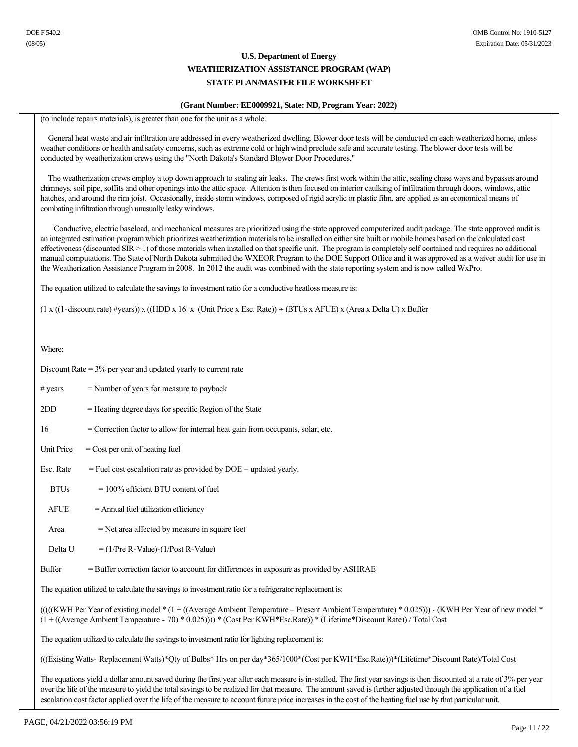#### **(Grant Number: EE0009921, State: ND, Program Year: 2022)**

(to include repairs materials), is greater than one for the unit as a whole.

 General heat waste and air infiltration are addressed in every weatherized dwelling. Blower door tests will be conducted on each weatherized home, unless weather conditions or health and safety concerns, such as extreme cold or high wind preclude safe and accurate testing. The blower door tests will be conducted by weatherization crews using the "North Dakota's Standard Blower Door Procedures."

 The weatherization crews employ a top down approach to sealing air leaks. The crews first work within the attic, sealing chase ways and bypasses around chimneys, soil pipe, soffits and other openings into the attic space. Attention is then focused on interior caulking of infiltration through doors, windows, attic hatches, and around the rim joist. Occasionally, inside storm windows, composed of rigid acrylic or plastic film, are applied as an economical means of combating infiltration through unusually leaky windows.

 Conductive, electric baseload, and mechanical measures are prioritized using the state approved computerized audit package. The state approved audit is an integrated estimation program which prioritizes weatherization materials to be installed on either site built or mobile homes based on the calculated cost effectiveness (discounted SIR > 1) of those materials when installed on that specific unit. The program is completely self contained and requires no additional manual computations. The State of North Dakota submitted the WXEOR Program to the DOE Support Office and it was approved as a waiver audit for use in the Weatherization Assistance Program in 2008. In 2012 the audit was combined with the state reporting system and is now called WxPro.

The equation utilized to calculate the savings to investment ratio for a conductive heatloss measure is:

 $(1 x ((1-discount rate) \#years)) x ((HDD x 16 x (Unit Price x Esc. Rate)) \div (BTUs x A FUE) x (Area x Delta U) x Buffer$ 

Where:

Discount Rate = 3% per year and updated yearly to current rate

- $\#$  years  $=$  Number of years for measure to payback
- $2DD$  = Heating degree days for specific Region of the State
- 16 = Correction factor to allow for internal heat gain from occupants, solar, etc.
- Unit Price  $=$  Cost per unit of heating fuel
- Esc. Rate  $=$  Fuel cost escalation rate as provided by  $DOE -$  updated yearly.
- $BTUs = 100\%$  efficient BTU content of fuel
- $A FUE = Annual fuel utilization efficiency$
- $Area = Net area affected by measure in square feet$
- Delta U  $= (1/Pre R-Value) (1/Post R-Value)$

Buffer = Buffer correction factor to account for differences in exposure as provided by ASHRAE

The equation utilized to calculate the savings to investment ratio for a refrigerator replacement is:

 $(((KWH Per Year of existing model * (1 + ((Average Ambient Temperature - Present Ambient Temperature) * 0.025))) - (KWH Per Year of new model *$ (1 + ((Average Ambient Temperature 70) \* 0.025)))) \* (Cost Per KWH\*Esc.Rate)) \* (Lifetime\*Discount Rate)) / Total Cost

The equation utilized to calculate the savings to investment ratio for lighting replacement is:

(((Existing Watts Replacement Watts)\*Qty of Bulbs\* Hrs on per day\*365/1000\*(Cost per KWH\*Esc.Rate)))\*(Lifetime\*Discount Rate)/Total Cost

The equations yield a dollar amount saved during the first year after each measure is in-stalled. The first year savings is then discounted at a rate of 3% per year over the life of the measure to yield the total savings to be realized for that measure. The amount saved is further adjusted through the application of a fuel escalation cost factor applied over the life of the measure to account future price increases in the cost of the heating fuel use by that particular unit.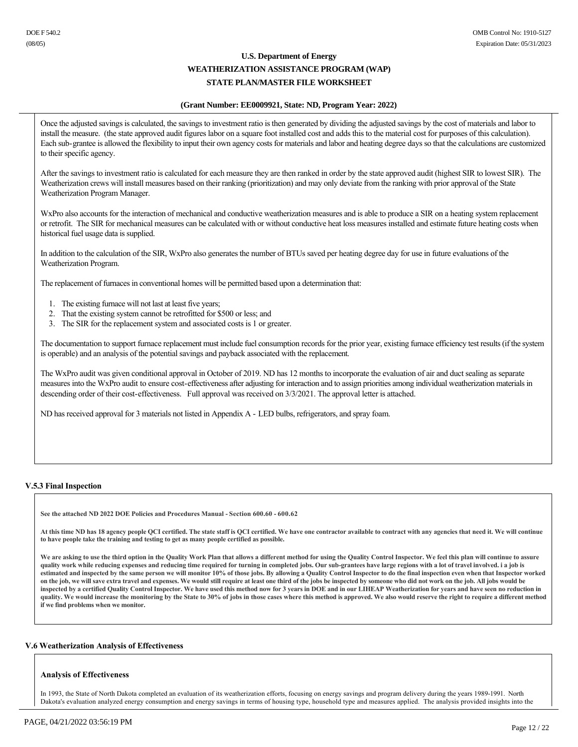#### **(Grant Number: EE0009921, State: ND, Program Year: 2022)**

Once the adjusted savings is calculated, the savings to investment ratio is then generated by dividing the adjusted savings by the cost of materials and labor to install the measure. (the state approved audit figures labor on a square foot installed cost and adds this to the material cost for purposes of this calculation). Each sub-grantee is allowed the flexibility to input their own agency costs for materials and labor and heating degree days so that the calculations are customized to their specific agency.

After the savings to investment ratio is calculated for each measure they are then ranked in order by the state approved audit (highest SIR to lowest SIR). The Weatherization crews will install measures based on their ranking (prioritization) and may only deviate from the ranking with prior approval of the State Weatherization Program Manager.

WxPro also accounts for the interaction of mechanical and conductive weatherization measures and is able to produce a SIR on a heating system replacement or retrofit. The SIR for mechanical measures can be calculated with or without conductive heat loss measures installed and estimate future heating costs when historical fuel usage data is supplied.

In addition to the calculation of the SIR, WxPro also generates the number of BTUs saved per heating degree day for use in future evaluations of the Weatherization Program.

The replacement of furnaces in conventional homes will be permitted based upon a determination that:

- 1. The existing furnace will not last at least five years;
- 2. That the existing system cannot be retrofitted for \$500 or less; and
- 3. The SIR for the replacement system and associated costs is 1 or greater.

The documentation to support furnace replacement must include fuel consumption records for the prior year, existing furnace efficiency test results (if the system is operable) and an analysis of the potential savings and payback associated with the replacement.

The WxPro audit was given conditional approval in October of 2019. ND has 12 months to incorporate the evaluation of air and duct sealing as separate measures into the WxPro audit to ensure cost-effectiveness after adjusting for interaction and to assign priorities among individual weatherization materials in descending order of their cost-effectiveness. Full approval was received on  $3/3/2021$ . The approval letter is attached.

ND has received approval for 3 materials not listed in Appendix A - LED bulbs, refrigerators, and spray foam.

### **V.5.3 Final Inspection**

**See the attached ND 2022 DOE Policies and Procedures Manual Section 600.60 600.62**

**At this time ND has 18 agency people QCI certified. The state staff is QCI certified. We have one contractor available to contract with any agencies that need it. We will continue to have people take the training and testing to get as many people certified as possible.**

We are asking to use the third option in the Quality Work Plan that allows a different method for using the Quality Control Inspector. We feel this plan will continue to assure **quality work while reducing expenses and reducing time required for turning in completed jobs. Our subgrantees have large regions with a lot of travel involved. i a job is estimated and inspected by the same person we will monitor 10% of those jobs. By allowing a Quality Control Inspector to do the final inspection even when that Inspector worked on the job, we will save extra travel and expenses. We would still require at least one third of the jobs be inspected by someone who did not work on the job. All jobs would be inspected by a certified Quality Control Inspector. We have used this method now for 3 years in DOE and in our LIHEAP Weatherization for years and have seen no reduction in quality. We would increase the monitoring by the State to 30% of jobs in those cases where this method is approved. We also would reserve the right to require a different method if we find problems when we monitor.**

#### **V.6 Weatherization Analysis of Effectiveness**

#### **Analysis of Effectiveness**

In 1993, the State of North Dakota completed an evaluation of its weatherization efforts, focusing on energy savings and program delivery during the years 19891991. North Dakota's evaluation analyzed energy consumption and energy savings in terms of housing type, household type and measures applied. The analysis provided insights into the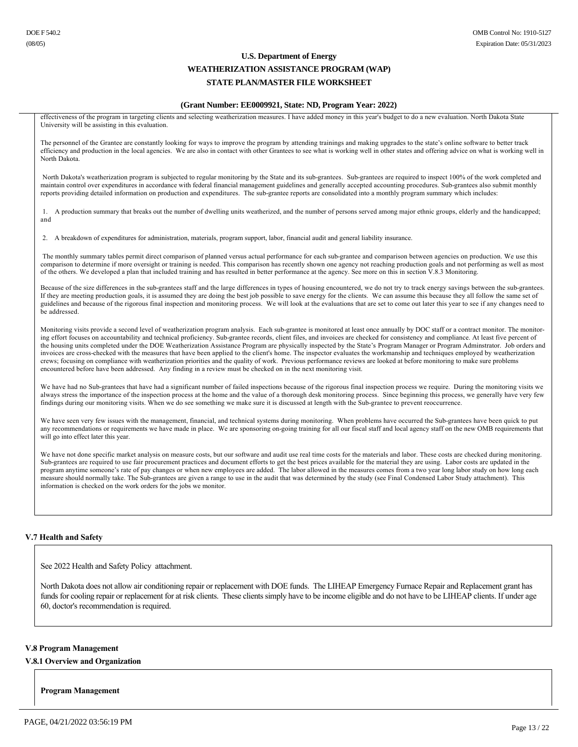#### **(Grant Number: EE0009921, State: ND, Program Year: 2022)**

effectiveness of the program in targeting clients and selecting weatherization measures. I have added money in this year's budget to do a new evaluation. North Dakota State University will be assisting in this evaluation.

The personnel of the Grantee are constantly looking for ways to improve the program by attending trainings and making upgrades to the state's online software to better track efficiency and production in the local agencies. We are also in contact with other Grantees to see what is working well in other states and offering advice on what is working well in North Dakota.

North Dakota's weatherization program is subjected to regular monitoring by the State and its sub-grantees. Sub-grantees are required to inspect 100% of the work completed and maintain control over expenditures in accordance with federal financial management guidelines and generally accepted accounting procedures. Subgrantees also submit monthly reports providing detailed information on production and expenditures. The subgrantee reports are consolidated into a monthly program summary which includes:

1. A production summary that breaks out the number of dwelling units weatherized, and the number of persons served among major ethnic groups, elderly and the handicapped; and

2. A breakdown of expenditures for administration, materials, program support, labor, financial audit and general liability insurance.

The monthly summary tables permit direct comparison of planned versus actual performance for each sub-grantee and comparison between agencies on production. We use this comparison to determine if more oversight or training is needed. This comparison has recently shown one agency not reaching production goals and not performing as well as most of the others. We developed a plan that included training and has resulted in better performance at the agency. See more on this in section V.8.3 Monitoring.

Because of the size differences in the sub-grantees staff and the large differences in types of housing encountered, we do not try to track energy savings between the sub-grantees. If they are meeting production goals, it is assumed they are doing the best job possible to save energy for the clients. We can assume this because they all follow the same set of guidelines and because of the rigorous final inspection and monitoring process. We will look at the evaluations that are set to come out later this year to see if any changes need to be addressed.

Monitoring visits provide a second level of weatherization program analysis. Each sub-grantee is monitored at least once annually by DOC staff or a contract monitor. The monitoring effort focuses on accountability and technical proficiency. Sub-grantee records, client files, and invoices are checked for consistency and compliance. At least five percent of the housing units completed under the DOE Weatherization Assistance Program are physically inspected by the State's Program Manager or Program Adminstrator. Job orders and invoices are cross-checked with the measures that have been applied to the client's home. The inspector evaluates the workmanship and techniques employed by weatherization crews; focusing on compliance with weatherization priorities and the quality of work. Previous performance reviews are looked at before monitoring to make sure problems encountered before have been addressed. Any finding in a review must be checked on in the next monitoring visit.

We have had no Sub-grantees that have had a significant number of failed inspections because of the rigorous final inspection process we require. During the monitoring visits we always stress the importance of the inspection process at the home and the value of a thorough desk monitoring process. Since beginning this process, we generally have very few findings during our monitoring visits. When we do see something we make sure it is discussed at length with the Sub-grantee to prevent reoccurrence.

We have seen very few issues with the management, financial, and technical systems during monitoring. When problems have occurred the Sub-grantees have been quick to put any recommendations or requirements we have made in place. We are sponsoring on-going training for all our fiscal staff and local agency staff on the new OMB requirements that will go into effect later this year.

We have not done specific market analysis on measure costs, but our software and audit use real time costs for the materials and labor. These costs are checked during monitoring. Subgrantees are required to use fair procurement practices and document efforts to get the best prices available for the material they are using. Labor costs are updated in the program anytime someone's rate of pay changes or when new employees are added. The labor allowed in the measures comes from a two year long labor study on how long each measure should normally take. The Sub-grantees are given a range to use in the audit that was determined by the study (see Final Condensed Labor Study attachment). This information is checked on the work orders for the jobs we monitor.

#### **V.7 Health and Safety**

See 2022 Health and Safety Policy attachment.

North Dakota does not allow air conditioning repair or replacement with DOE funds. The LIHEAP Emergency Furnace Repair and Replacement grant has funds for cooling repair or replacement for at risk clients. These clients simply have to be income eligible and do not have to be LIHEAP clients. If under age 60, doctor's recommendation is required.

#### **V.8 Program Management**

#### **V.8.1 Overview and Organization**

**Program Management**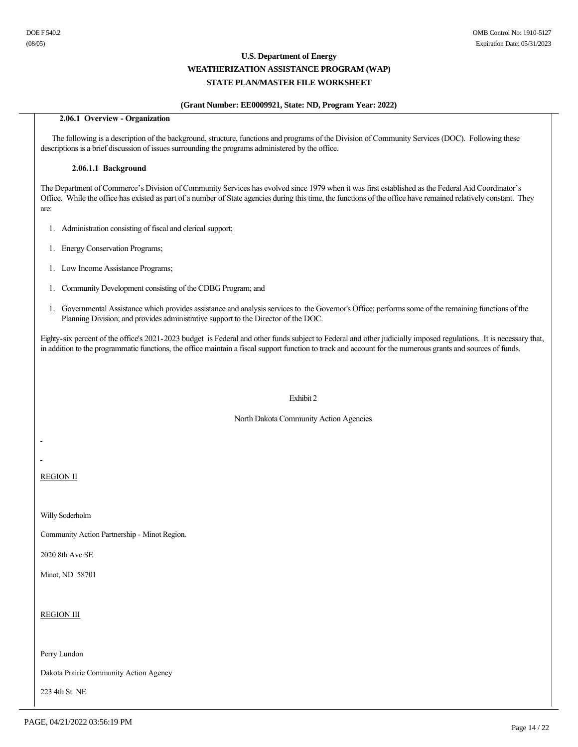### **(Grant Number: EE0009921, State: ND, Program Year: 2022)**

### **2.06.1 Overview Organization**

 The following is a description of the background, structure, functions and programs of the Division of Community Services (DOC). Following these descriptions is a brief discussion of issues surrounding the programs administered by the office.

#### **2.06.1.1 Background**

The Department of Commerce's Division of Community Services has evolved since 1979 when it was first established as the Federal Aid Coordinator's Office. While the office has existed as part of a number of State agencies during this time, the functions of the office have remained relatively constant. They are:

- 1. Administration consisting of fiscal and clerical support;
- 1. Energy Conservation Programs;
- 1. Low Income Assistance Programs;
- 1. Community Development consisting of the CDBG Program; and
- 1. Governmental Assistance which provides assistance and analysis services to the Governor's Office; performs some of the remaining functions of the Planning Division; and provides administrative support to the Director of the DOC.

Eighty-six percent of the office's 2021-2023 budget is Federal and other funds subject to Federal and other judicially imposed regulations. It is necessary that, in addition to the programmatic functions, the office maintain a fiscal support function to track and account for the numerous grants and sources of funds.

#### Exhibit 2

North Dakota Community Action Agencies

REGION II

 $\overline{a}$ 

Willy Soderholm

Community Action Partnership - Minot Region.

2020 8th Ave SE

Minot, ND 58701

REGION III

Perry Lundon

Dakota Prairie Community Action Agency

223 4th St. NE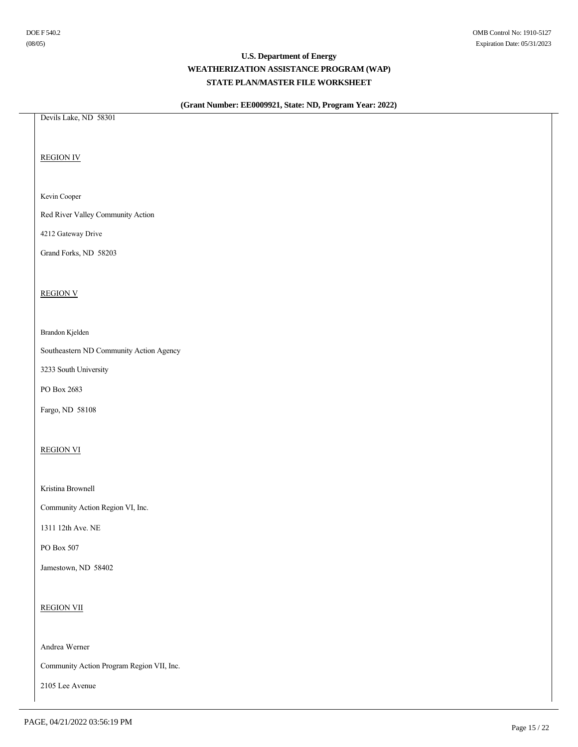# **(Grant Number: EE0009921, State: ND, Program Year: 2022)**

Devils Lake, ND 58301

REGION IV

### Kevin Cooper

Red River Valley Community Action

4212 Gateway Drive

Grand Forks, ND 58203

#### REGION V

#### Brandon Kjelden

Southeastern ND Community Action Agency

3233 South University

PO Box 2683

Fargo, ND 58108

### REGION VI

Kristina Brownell

Community Action Region VI, Inc.

1311 12th Ave. NE

PO Box 507

Jamestown, ND 58402

REGION VII

Andrea Werner

Community Action Program Region VII, Inc.

2105 Lee Avenue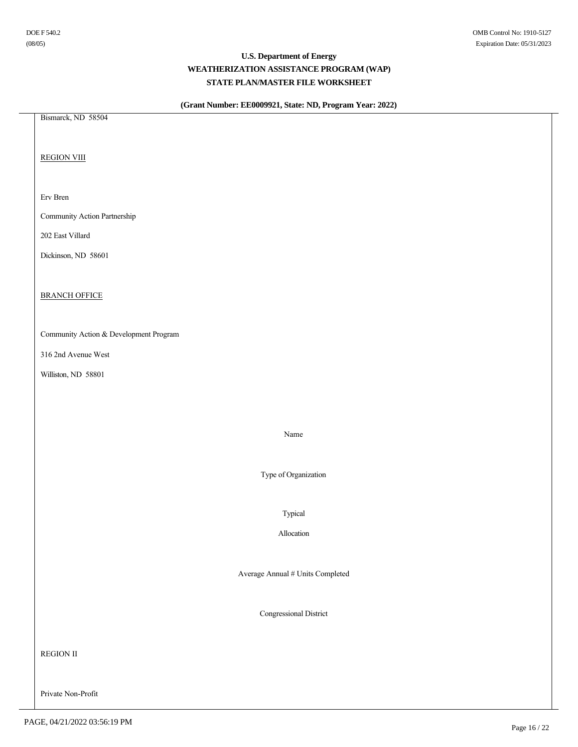# **(Grant Number: EE0009921, State: ND, Program Year: 2022)**

Bismarck, ND 58504 REGION VIII Erv Bren Community Action Partnership 202 East Villard Dickinson, ND 58601 **BRANCH OFFICE** Community Action & Development Program 316 2nd Avenue West Williston, ND 58801 Name Type of Organization Typical Allocation Average Annual # Units Completed Congressional District REGION II Private Non-Profit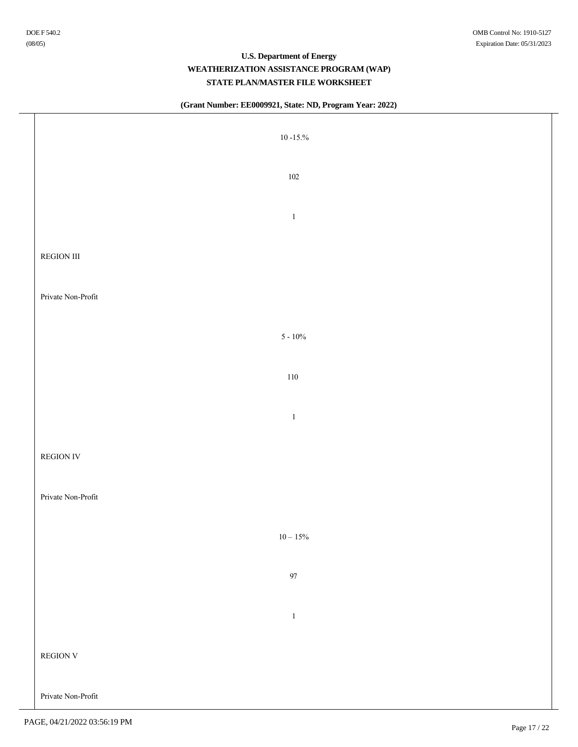| $10$ -15.% $\,$    |  |
|--------------------|--|
| $102\,$            |  |
| $\,1\,$            |  |
| REGION III         |  |
| Private Non-Profit |  |
| $5$ - $10\%$       |  |
| $110\,$            |  |
| $\,1\,$            |  |
| <b>REGION IV</b>   |  |
| Private Non-Profit |  |
| $10 - 15\%$        |  |
| $97\,$             |  |
| $\,1\,$            |  |
| REGION V           |  |
| Private Non-Profit |  |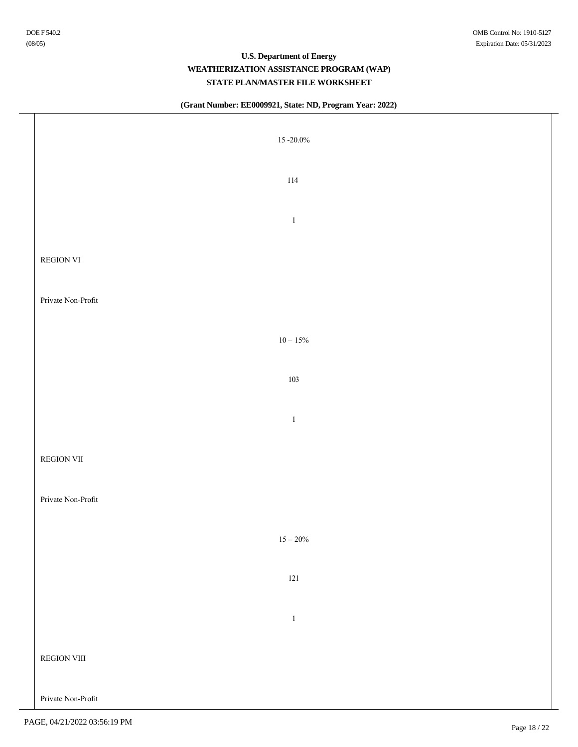| 15 $-20.0\%$       |  |
|--------------------|--|
| $114\,$            |  |
| $\,1\,$            |  |
| REGION VI          |  |
| Private Non-Profit |  |
| $10-15\%$          |  |
| 103                |  |
| $\,1\,$            |  |
| <b>REGION VII</b>  |  |
| Private Non-Profit |  |
| $15 - 20\%$        |  |
| $121\,$            |  |
| $\,1\,$            |  |
| REGION VIII        |  |
| Private Non-Profit |  |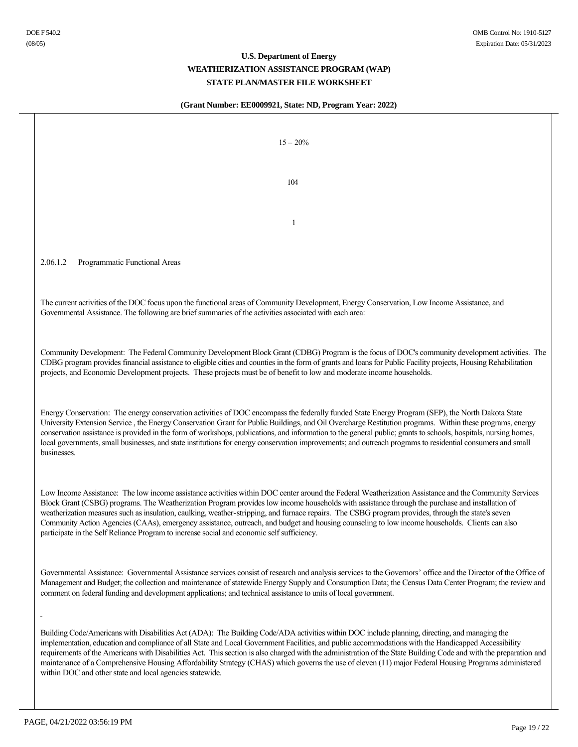| $15 - 20\%$                                                                                                                                                                                                                                                                                                                                                                                                                                                                                                                                                                                                                                                                                                    |
|----------------------------------------------------------------------------------------------------------------------------------------------------------------------------------------------------------------------------------------------------------------------------------------------------------------------------------------------------------------------------------------------------------------------------------------------------------------------------------------------------------------------------------------------------------------------------------------------------------------------------------------------------------------------------------------------------------------|
| 104                                                                                                                                                                                                                                                                                                                                                                                                                                                                                                                                                                                                                                                                                                            |
| 1                                                                                                                                                                                                                                                                                                                                                                                                                                                                                                                                                                                                                                                                                                              |
| 2.06.1.2<br>Programmatic Functional Areas                                                                                                                                                                                                                                                                                                                                                                                                                                                                                                                                                                                                                                                                      |
| The current activities of the DOC focus upon the functional areas of Community Development, Energy Conservation, Low Income Assistance, and<br>Governmental Assistance. The following are brief summaries of the activities associated with each area:                                                                                                                                                                                                                                                                                                                                                                                                                                                         |
| Community Development: The Federal Community Development Block Grant (CDBG) Program is the focus of DOC's community development activities. The<br>CDBG program provides financial assistance to eligible cities and counties in the form of grants and loans for Public Facility projects, Housing Rehabilitation<br>projects, and Economic Development projects. These projects must be of benefit to low and moderate income households.                                                                                                                                                                                                                                                                    |
| Energy Conservation: The energy conservation activities of DOC encompass the federally funded State Energy Program (SEP), the North Dakota State<br>University Extension Service, the Energy Conservation Grant for Public Buildings, and Oil Overcharge Restitution programs. Within these programs, energy<br>conservation assistance is provided in the form of workshops, publications, and information to the general public; grants to schools, hospitals, nursing homes,<br>local governments, small businesses, and state institutions for energy conservation improvements; and outreach programs to residential consumers and small<br>businesses.                                                   |
| Low Income Assistance: The low income assistance activities within DOC center around the Federal Weatherization Assistance and the Community Services<br>Block Grant (CSBG) programs. The Weatherization Program provides low income households with assistance through the purchase and installation of<br>weatherization measures such as insulation, caulking, weather-stripping, and furnace repairs. The CSBG program provides, through the state's seven<br>Community Action Agencies (CAAs), emergency assistance, outreach, and budget and housing counseling to low income households. Clients can also<br>participate in the Self Reliance Program to increase social and economic self sufficiency. |
| Governmental Assistance: Governmental Assistance services consist of research and analysis services to the Governors' office and the Director of the Office of<br>Management and Budget; the collection and maintenance of statewide Energy Supply and Consumption Data; the Census Data Center Program; the review and<br>comment on federal funding and development applications; and technical assistance to units of local government.                                                                                                                                                                                                                                                                     |
| Building Code/Americans with Disabilities Act (ADA): The Building Code/ADA activities within DOC include planning, directing, and managing the<br>implementation, education and compliance of all State and Local Government Facilities, and public accommodations with the Handicapped Accessibility<br>requirements of the Americans with Disabilities Act. This section is also charged with the administration of the State Building Code and with the preparation and<br>maintenance of a Comprehensive Housing Affordability Strategy (CHAS) which governs the use of eleven (11) major Federal Housing Programs administered<br>within DOC and other state and local agencies statewide.                |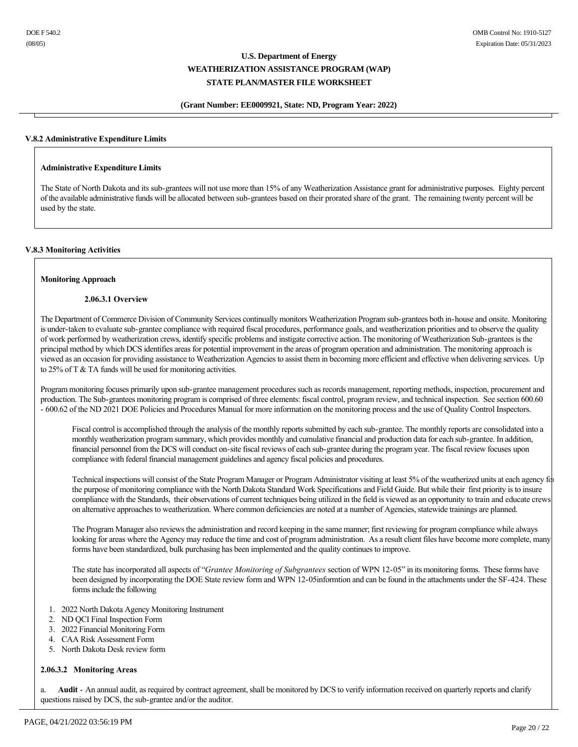#### **(Grant Number: EE0009921, State: ND, Program Year: 2022)**

#### **V.8.2 Administrative Expenditure Limits**

#### **Administrative Expenditure Limits**

The State of North Dakota and its sub-grantees will not use more than 15% of any Weatherization Assistance grant for administrative purposes. Eighty percent of the available administrative funds will be allocated between sub-grantees based on their prorated share of the grant. The remaining twenty percent will be used by the state.

#### **V.8.3 Monitoring Activities**

#### **Monitoring Approach**

#### **2.06.3.1 Overview**

The Department of Commerce Division of Community Services continually monitors Weatherization Program sub-grantees both in-house and onsite. Monitoring is under-taken to evaluate sub-grantee compliance with required fiscal procedures, performance goals, and weatherization priorities and to observe the quality of work performed by weatherization crews, identify specific problems and instigate corrective action. The monitoring of Weatherization Sub-grantees is the principal method by which DCS identifies areas for potential improvement in the areas of program operation and administration. The monitoring approach is viewed as an occasion for providing assistance to Weatherization Agencies to assist them in becoming more efficient and effective when delivering services. Up to 25% of T & TA funds will be used for monitoring activities.

Program monitoring focuses primarily upon sub-grantee management procedures such as records management, reporting methods, inspection, procurement and production. The Sub-grantees monitoring program is comprised of three elements: fiscal control, program review, and technical inspection. See section 600.60 600.62 of the ND 2021 DOE Policies and Procedures Manual for more information on the monitoring process and the use of Quality Control Inspectors.

Fiscal control is accomplished through the analysis of the monthly reports submitted by each sub-grantee. The monthly reports are consolidated into a monthly weatherization program summary, which provides monthly and cumulative financial and production data for each sub-grantee. In addition, financial personnel from the DCS will conduct on-site fiscal reviews of each sub-grantee during the program year. The fiscal review focuses upon compliance with federal financial management guidelines and agency fiscal policies and procedures.

Technical inspections will consist of the State Program Manager or Program Administrator visiting at least 5% of the weatherized units at each agency for the purpose of monitoring compliance with the North Dakota Standard Work Specifications and Field Guide. But while their first priority is to insure compliance with the Standards, their observations of current techniques being utilized in the field is viewed as an opportunity to train and educate crews on alternative approaches to weatherization. Where common deficiencies are noted at a number of Agencies, statewide trainings are planned.

The Program Manager also reviews the administration and record keeping in the same manner; first reviewing for program compliance while always looking for areas where the Agency may reduce the time and cost of program administration. As a result client files have become more complete, many forms have been standardized, bulk purchasing has been implemented and the quality continues to improve.

The state has incorporated all aspects of "*Grantee Monitoring of Subgrantees* section of WPN 12-05" in its monitoring forms. These forms have been designed by incorporating the DOE State review form and WPN 12-05informtion and can be found in the attachments under the SF-424. These forms include the following

- 1. 2022 North Dakota Agency Monitoring Instrument
- 2. ND QCI Final Inspection Form
- 3. 2022 Financial Monitoring Form
- 4. CAA Risk Assessment Form
- 5. North Dakota Desk review form

#### **2.06.3.2 Monitoring Areas**

a.  **Audit** - An annual audit, as required by contract agreement, shall be monitored by DCS to verify information received on quarterly reports and clarify questions raised by DCS, the sub-grantee and/or the auditor.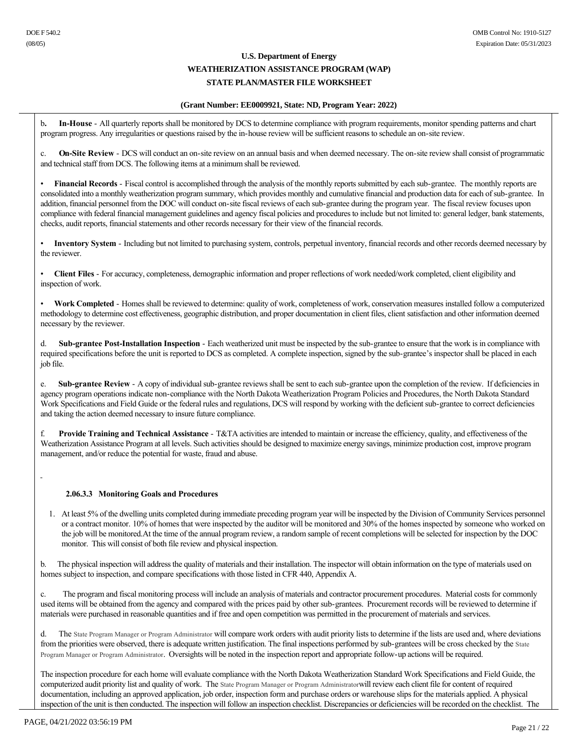#### **(Grant Number: EE0009921, State: ND, Program Year: 2022)**

b**. InHouse** All quarterly reports shall be monitored by DCS to determine compliance with program requirements, monitor spending patterns and chart program progress. Any irregularities or questions raised by the in-house review will be sufficient reasons to schedule an on-site review.

c. **On-Site Review** - DCS will conduct an on-site review on an annual basis and when deemed necessary. The on-site review shall consist of programmatic and technical staff from DCS. The following items at a minimum shall be reviewed.

Financial Records - Fiscal control is accomplished through the analysis of the monthly reports submitted by each sub-grantee. The monthly reports are consolidated into a monthly weatherization program summary, which provides monthly and cumulative financial and production data for each of sub-grantee. In addition, financial personnel from the DOC will conduct on-site fiscal reviews of each sub-grantee during the program year. The fiscal review focuses upon compliance with federal financial management guidelines and agency fiscal policies and procedures to include but not limited to: general ledger, bank statements, checks, audit reports, financial statements and other records necessary for their view of the financial records.

**Inventory System** - Including but not limited to purchasing system, controls, perpetual inventory, financial records and other records deemed necessary by the reviewer.

• **Client Files** For accuracy, completeness, demographic information and proper reflections of work needed/work completed, client eligibility and inspection of work.

Work Completed - Homes shall be reviewed to determine: quality of work, completeness of work, conservation measures installed follow a computerized methodology to determine cost effectiveness, geographic distribution, and proper documentation in client files, client satisfaction and other information deemed necessary by the reviewer.

d. Sub-grantee Post-Installation Inspection - Each weatherized unit must be inspected by the sub-grantee to ensure that the work is in compliance with required specifications before the unit is reported to DCS as completed. A complete inspection, signed by the sub-grantee's inspector shall be placed in each job file.

e. Sub-grantee Review - A copy of individual sub-grantee reviews shall be sent to each sub-grantee upon the completion of the review. If deficiencies in agency program operations indicate non-compliance with the North Dakota Weatherization Program Policies and Procedures, the North Dakota Standard Work Specifications and Field Guide or the federal rules and regulations, DCS will respond by working with the deficient sub-grantee to correct deficiencies and taking the action deemed necessary to insure future compliance.

f.  **Provide Training and Technical Assistance** T&TA activities are intended to maintain or increase the efficiency, quality, and effectiveness of the Weatherization Assistance Program at all levels. Such activities should be designed to maximize energy savings, minimize production cost, improve program management, and/or reduce the potential for waste, fraud and abuse.

### **2.06.3.3 Monitoring Goals and Procedures**

1. At least 5% of the dwelling units completed during immediate preceding program year will be inspected by the Division of Community Services personnel or a contract monitor. 10% of homes that were inspected by the auditor will be monitored and 30% of the homes inspected by someone who worked on the job will be monitored.At the time of the annual program review, a random sample of recent completions will be selected for inspection by the DOC monitor. This will consist of both file review and physical inspection.

b. The physical inspection will address the quality of materials and their installation. The inspector will obtain information on the type of materials used on homes subject to inspection, and compare specifications with those listed in CFR 440, Appendix A.

c. The program and fiscal monitoring process will include an analysis of materials and contractor procurement procedures. Material costs for commonly used items will be obtained from the agency and compared with the prices paid by other sub-grantees. Procurement records will be reviewed to determine if materials were purchased in reasonable quantities and if free and open competition was permitted in the procurement of materials and services.

d. The State Program Manager or Program Administrator will compare work orders with audit priority lists to determine if the lists are used and, where deviations from the priorities were observed, there is adequate written justification. The final inspections performed by sub-grantees will be cross checked by the State Program Manager or Program Administrator. Oversights will be noted in the inspection report and appropriate follow-up actions will be required.

The inspection procedure for each home will evaluate compliance with the North Dakota Weatherization Standard Work Specifications and Field Guide, the computerized audit priority list and quality of work. The State Program Manager or Program Administratorwill review each client file for content of required documentation, including an approved application, job order, inspection form and purchase orders or warehouse slips for the materials applied. A physical inspection of the unit is then conducted. The inspection will follow an inspection checklist. Discrepancies or deficiencies will be recorded on the checklist. The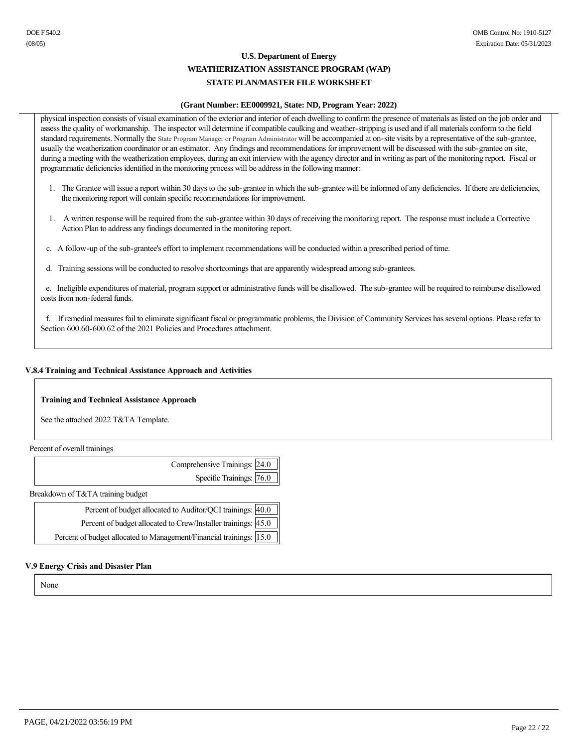### **(Grant Number: EE0009921, State: ND, Program Year: 2022)**

physical inspection consists of visual examination of the exterior and interior of each dwelling to confirm the presence of materials as listed on the job order and assess the quality of workmanship. The inspector will determine if compatible caulking and weather-stripping is used and if all materials conform to the field standard requirements. Normally the State Program Manager or Program Administrator will be accompanied at on-site visits by a representative of the sub-grantee, usually the weatherization coordinator or an estimator. Any findings and recommendations for improvement will be discussed with the sub-grantee on site, during a meeting with the weatherization employees, during an exit interview with the agency director and in writing as part of the monitoring report. Fiscal or programmatic deficiencies identified in the monitoring process will be address in the following manner:

- 1. The Grantee will issue a report within 30 days to the sub-grantee in which the sub-grantee will be informed of any deficiencies. If there are deficiencies, the monitoring report will contain specific recommendations for improvement.
- 1. A written response will be required from the sub-grantee within 30 days of receiving the monitoring report. The response must include a Corrective Action Plan to address any findings documented in the monitoring report.
- c. A follow-up of the sub-grantee's effort to implement recommendations will be conducted within a prescribed period of time.
- d. Training sessions will be conducted to resolve shortcomings that are apparently widespread among sub-grantees.

 e. Ineligible expenditures of material, program support or administrative funds will be disallowed. The subgrantee will be required to reimburse disallowed costs from non-federal funds.

 f. If remedial measures fail to eliminate significant fiscal or programmatic problems, the Division of Community Services has several options. Please refer to Section 600.60-600.62 of the 2021 Policies and Procedures attachment.

### **V.8.4 Training and Technical Assistance Approach and Activities**

### **Training and Technical Assistance Approach**

See the attached 2022 T&TA Template.

Percent of overall trainings

| Comprehensive Trainings: 24.0 |  |
|-------------------------------|--|
| Specific Trainings: $76.0$    |  |

Breakdown of T&TA training budget

| Percent of budget allocated to Auditor/QCI trainings: 40.0          |  |
|---------------------------------------------------------------------|--|
| Percent of budget allocated to Crew/Installer trainings: 45.0       |  |
| Percent of budget allocated to Management/Financial trainings: 15.0 |  |

#### **V.9 Energy Crisis and Disaster Plan**

None